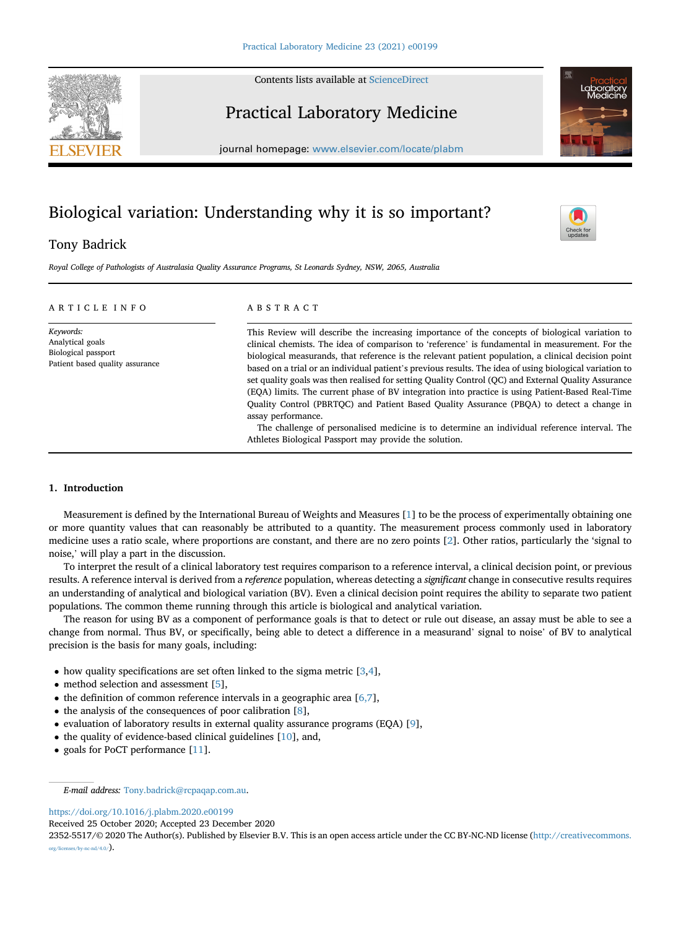Contents lists available at [ScienceDirect](www.sciencedirect.com/science/journal/23525517)

# Practical Laboratory Medicine

journal homepage: <www.elsevier.com/locate/plabm>

# Biological variation: Understanding why it is so important?

# Tony Badrick

Royal College of Pathologists of Australasia Quality Assurance Programs, St Leonards Sydney, NSW, 2065, Australia

| ARTICLE INFO                                                                            | ABSTRACT                                                                                                                                                                                                                                                                                                                                                                                                                                                                                                                                                                                                                                                                                                                                                                                                                                                                                                    |  |
|-----------------------------------------------------------------------------------------|-------------------------------------------------------------------------------------------------------------------------------------------------------------------------------------------------------------------------------------------------------------------------------------------------------------------------------------------------------------------------------------------------------------------------------------------------------------------------------------------------------------------------------------------------------------------------------------------------------------------------------------------------------------------------------------------------------------------------------------------------------------------------------------------------------------------------------------------------------------------------------------------------------------|--|
| Keywords:<br>Analytical goals<br>Biological passport<br>Patient based quality assurance | This Review will describe the increasing importance of the concepts of biological variation to<br>clinical chemists. The idea of comparison to 'reference' is fundamental in measurement. For the<br>biological measurands, that reference is the relevant patient population, a clinical decision point<br>based on a trial or an individual patient's previous results. The idea of using biological variation to<br>set quality goals was then realised for setting Quality Control (QC) and External Quality Assurance<br>(EQA) limits. The current phase of BV integration into practice is using Patient-Based Real-Time<br>Ouality Control (PBRTOC) and Patient Based Ouality Assurance (PBOA) to detect a change in<br>assay performance.<br>The challenge of personalised medicine is to determine an individual reference interval. The<br>Athletes Biological Passport may provide the solution. |  |

# 1. Introduction

Measurement is defined by the International Bureau of Weights and Measures [[1](#page-11-0)] to be the process of experimentally obtaining one or more quantity values that can reasonably be attributed to a quantity. The measurement process commonly used in laboratory medicine uses a ratio scale, where proportions are constant, and there are no zero points [[2](#page-11-1)]. Other ratios, particularly the 'signal to noise,' will play a part in the discussion.

To interpret the result of a clinical laboratory test requires comparison to a reference interval, a clinical decision point, or previous results. A reference interval is derived from a reference population, whereas detecting a significant change in consecutive results requires an understanding of analytical and biological variation (BV). Even a clinical decision point requires the ability to separate two patient populations. The common theme running through this article is biological and analytical variation.

The reason for using BV as a component of performance goals is that to detect or rule out disease, an assay must be able to see a change from normal. Thus BV, or specifically, being able to detect a difference in a measurand' signal to noise' of BV to analytical precision is the basis for many goals, including:

- $\bullet$  how quality specifications are set often linked to the sigma metric [[3](#page-11-2),[4\]](#page-11-3),
- method selection and assessment [\[5\]](#page-11-4),
- $\bullet$  the definition of common reference intervals in a geographic area [[6,7\]](#page-11-5),
- $\bullet$  the analysis of the consequences of poor calibration [[8](#page-11-6)],
- $\bullet$  evaluation of laboratory results in external quality assurance programs (EOA) [[9](#page-11-7)],
- $\bullet$  the quality of evidence-based clinical guidelines [[10\]](#page-11-8), and,
- goals for PoCT performance [\[11](#page-11-9)].

E-mail address: [Tony.badrick@rcpaqap.com.au.](mailto:Tony.badrick@rcpaqap.com.au)

<https://doi.org/10.1016/j.plabm.2020.e00199>

Received 25 October 2020; Accepted 23 December 2020

2352-5517/© 2020 The Author(s). Published by Elsevier B.V. This is an open access article under the CC BY-NC-ND license [\(http://creativecommons.](http://creativecommons.org/licenses/by-nc-nd/4.0/) [org/licenses/by-nc-nd/4.0/\)](http://creativecommons.org/licenses/by-nc-nd/4.0/).





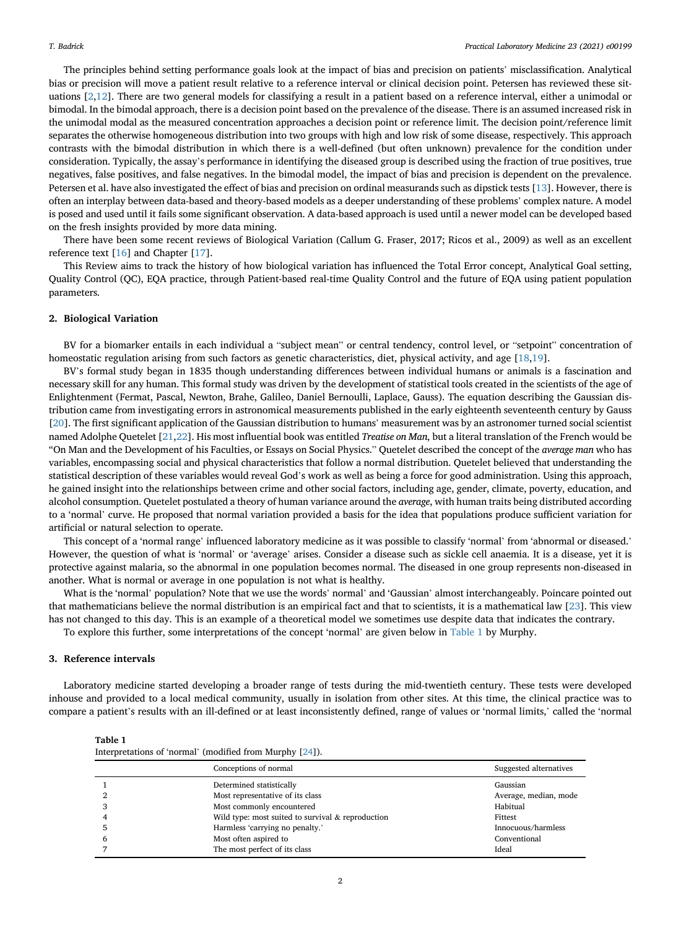The principles behind setting performance goals look at the impact of bias and precision on patients' misclassification. Analytical bias or precision will move a patient result relative to a reference interval or clinical decision point. Petersen has reviewed these situations [\[2,](#page-11-1)[12\]](#page-11-10). There are two general models for classifying a result in a patient based on a reference interval, either a unimodal or bimodal. In the bimodal approach, there is a decision point based on the prevalence of the disease. There is an assumed increased risk in the unimodal modal as the measured concentration approaches a decision point or reference limit. The decision point/reference limit separates the otherwise homogeneous distribution into two groups with high and low risk of some disease, respectively. This approach contrasts with the bimodal distribution in which there is a well-defined (but often unknown) prevalence for the condition under consideration. Typically, the assay's performance in identifying the diseased group is described using the fraction of true positives, true negatives, false positives, and false negatives. In the bimodal model, the impact of bias and precision is dependent on the prevalence. Petersen et al. have also investigated the effect of bias and precision on ordinal measurands such as dipstick tests [[13](#page-11-11)]. However, there is often an interplay between data-based and theory-based models as a deeper understanding of these problems' complex nature. A model is posed and used until it fails some significant observation. A data-based approach is used until a newer model can be developed based on the fresh insights provided by more data mining.

There have been some recent reviews of Biological Variation (Callum G. Fraser, 2017; Ricos et al., 2009) as well as an excellent reference text [[16\]](#page-11-12) and Chapter [[17\]](#page-11-13).

This Review aims to track the history of how biological variation has influenced the Total Error concept, Analytical Goal setting, Quality Control (QC), EQA practice, through Patient-based real-time Quality Control and the future of EQA using patient population parameters.

#### 2. Biological Variation

BV for a biomarker entails in each individual a "subject mean" or central tendency, control level, or "setpoint" concentration of homeostatic regulation arising from such factors as genetic characteristics, diet, physical activity, and age [\[18](#page-11-14),[19](#page-11-15)].

BV's formal study began in 1835 though understanding differences between individual humans or animals is a fascination and necessary skill for any human. This formal study was driven by the development of statistical tools created in the scientists of the age of Enlightenment (Fermat, Pascal, Newton, Brahe, Galileo, Daniel Bernoulli, Laplace, Gauss). The equation describing the Gaussian distribution came from investigating errors in astronomical measurements published in the early eighteenth seventeenth century by Gauss [\[20](#page-11-16)]. The first significant application of the Gaussian distribution to humans' measurement was by an astronomer turned social scientist named Adolphe Quetelet [[21,](#page-11-17)[22\]](#page-11-18). His most influential book was entitled Treatise on Man, but a literal translation of the French would be "On Man and the Development of his Faculties, or Essays on Social Physics." Quetelet described the concept of the average man who has variables, encompassing social and physical characteristics that follow a normal distribution. Quetelet believed that understanding the statistical description of these variables would reveal God's work as well as being a force for good administration. Using this approach, he gained insight into the relationships between crime and other social factors, including age, gender, climate, poverty, education, and alcohol consumption. Quetelet postulated a theory of human variance around the average, with human traits being distributed according to a 'normal' curve. He proposed that normal variation provided a basis for the idea that populations produce sufficient variation for artificial or natural selection to operate.

This concept of a 'normal range' influenced laboratory medicine as it was possible to classify 'normal' from 'abnormal or diseased.' However, the question of what is 'normal' or 'average' arises. Consider a disease such as sickle cell anaemia. It is a disease, yet it is protective against malaria, so the abnormal in one population becomes normal. The diseased in one group represents non-diseased in another. What is normal or average in one population is not what is healthy.

What is the 'normal' population? Note that we use the words' normal' and 'Gaussian' almost interchangeably. Poincare pointed out that mathematicians believe the normal distribution is an empirical fact and that to scientists, it is a mathematical law [\[23](#page-11-19)]. This view has not changed to this day. This is an example of a theoretical model we sometimes use despite data that indicates the contrary.

To explore this further, some interpretations of the concept 'normal' are given below in [Table 1](#page-1-0) by Murphy.

# 3. Reference intervals

Laboratory medicine started developing a broader range of tests during the mid-twentieth century. These tests were developed inhouse and provided to a local medical community, usually in isolation from other sites. At this time, the clinical practice was to compare a patient's results with an ill-defined or at least inconsistently defined, range of values or 'normal limits,' called the 'normal

<span id="page-1-0"></span>

| Table 1                                                  |  |  |
|----------------------------------------------------------|--|--|
| Interpretations of 'normal' (modified from Murphy [24]). |  |  |

|                | Conceptions of normal                             | Suggested alternatives |
|----------------|---------------------------------------------------|------------------------|
|                | Determined statistically                          | Gaussian               |
| $\overline{2}$ | Most representative of its class                  | Average, median, mode  |
| 3              | Most commonly encountered                         | Habitual               |
| 4              | Wild type: most suited to survival & reproduction | Fittest                |
|                | Harmless 'carrying no penalty.'                   | Innocuous/harmless     |
| 6              | Most often aspired to                             | Conventional           |
|                | The most perfect of its class                     | Ideal                  |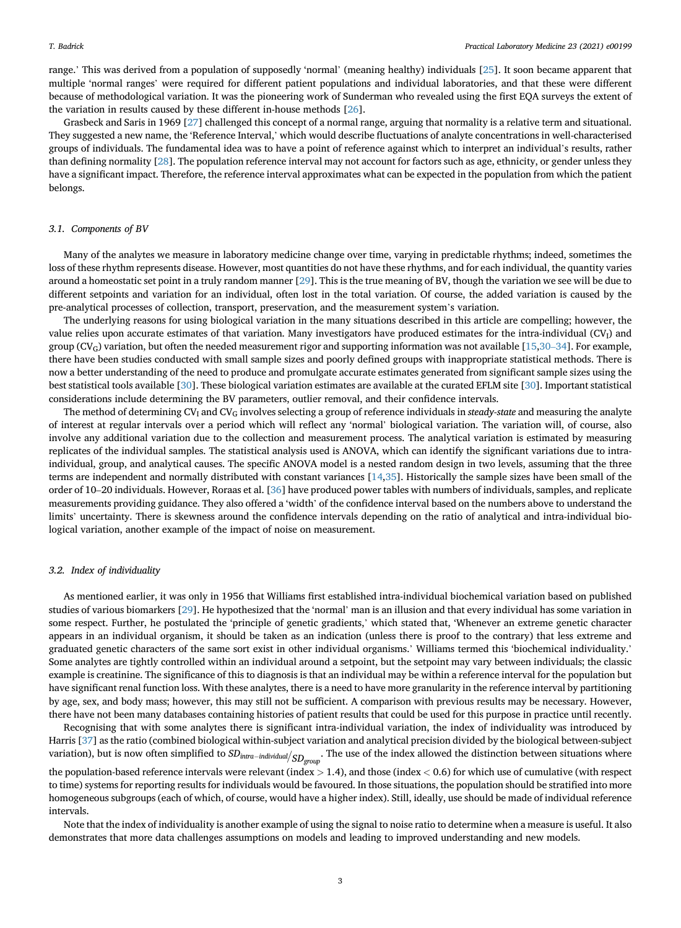range.' This was derived from a population of supposedly 'normal' (meaning healthy) individuals [\[25](#page-11-21)]. It soon became apparent that multiple 'normal ranges' were required for different patient populations and individual laboratories, and that these were different because of methodological variation. It was the pioneering work of Sunderman who revealed using the first EQA surveys the extent of the variation in results caused by these different in-house methods [[26\]](#page-11-22).

Grasbeck and Saris in 1969 [[27\]](#page-11-23) challenged this concept of a normal range, arguing that normality is a relative term and situational. They suggested a new name, the 'Reference Interval,' which would describe fluctuations of analyte concentrations in well-characterised groups of individuals. The fundamental idea was to have a point of reference against which to interpret an individual's results, rather than defining normality [\[28](#page-11-24)]. The population reference interval may not account for factors such as age, ethnicity, or gender unless they have a significant impact. Therefore, the reference interval approximates what can be expected in the population from which the patient belongs.

#### 3.1. Components of BV

Many of the analytes we measure in laboratory medicine change over time, varying in predictable rhythms; indeed, sometimes the loss of these rhythm represents disease. However, most quantities do not have these rhythms, and for each individual, the quantity varies around a homeostatic set point in a truly random manner [\[29](#page-11-25)]. This is the true meaning of BV, though the variation we see will be due to different setpoints and variation for an individual, often lost in the total variation. Of course, the added variation is caused by the pre-analytical processes of collection, transport, preservation, and the measurement system's variation.

The underlying reasons for using biological variation in the many situations described in this article are compelling; however, the value relies upon accurate estimates of that variation. Many investigators have produced estimates for the intra-individual (CVI) and group (CV<sub>G</sub>) variation, but often the needed measurement rigor and supporting information was not available [\[15](#page-11-26)[,30](#page-11-27)–[34](#page-11-27)]. For example, there have been studies conducted with small sample sizes and poorly defined groups with inappropriate statistical methods. There is now a better understanding of the need to produce and promulgate accurate estimates generated from significant sample sizes using the best statistical tools available [\[30](#page-11-27)]. These biological variation estimates are available at the curated EFLM site [[30\]](#page-11-27). Important statistical considerations include determining the BV parameters, outlier removal, and their confidence intervals.

The method of determining  $CV<sub>G</sub>$  and  $CV<sub>G</sub>$  involves selecting a group of reference individuals in steady-state and measuring the analyte of interest at regular intervals over a period which will reflect any 'normal' biological variation. The variation will, of course, also involve any additional variation due to the collection and measurement process. The analytical variation is estimated by measuring replicates of the individual samples. The statistical analysis used is ANOVA, which can identify the significant variations due to intraindividual, group, and analytical causes. The specific ANOVA model is a nested random design in two levels, assuming that the three terms are independent and normally distributed with constant variances [\[14](#page-11-28)[,35](#page-11-29)]. Historically the sample sizes have been small of the order of 10–20 individuals. However, Roraas et al. [\[36](#page-11-30)] have produced power tables with numbers of individuals, samples, and replicate measurements providing guidance. They also offered a 'width' of the confidence interval based on the numbers above to understand the limits' uncertainty. There is skewness around the confidence intervals depending on the ratio of analytical and intra-individual biological variation, another example of the impact of noise on measurement.

#### 3.2. Index of individuality

As mentioned earlier, it was only in 1956 that Williams first established intra-individual biochemical variation based on published studies of various biomarkers [\[29](#page-11-25)]. He hypothesized that the 'normal' man is an illusion and that every individual has some variation in some respect. Further, he postulated the 'principle of genetic gradients,' which stated that, 'Whenever an extreme genetic character appears in an individual organism, it should be taken as an indication (unless there is proof to the contrary) that less extreme and graduated genetic characters of the same sort exist in other individual organisms.' Williams termed this 'biochemical individuality.' Some analytes are tightly controlled within an individual around a setpoint, but the setpoint may vary between individuals; the classic example is creatinine. The significance of this to diagnosis is that an individual may be within a reference interval for the population but have significant renal function loss. With these analytes, there is a need to have more granularity in the reference interval by partitioning by age, sex, and body mass; however, this may still not be sufficient. A comparison with previous results may be necessary. However, there have not been many databases containing histories of patient results that could be used for this purpose in practice until recently.

Recognising that with some analytes there is significant intra-individual variation, the index of individuality was introduced by Harris [[37](#page-11-31)] as the ratio (combined biological within-subject variation and analytical precision divided by the biological between-subject variation), but is now often simplified to  $SD_{intra-individual}/_{SD_{group}}$ . The use of the index allowed the distinction between situations where

the population-based reference intervals were relevant (index  $> 1.4$ ), and those (index  $< 0.6$ ) for which use of cumulative (with respect to time) systems for reporting results for individuals would be favoured. In those situations, the population should be stratified into more homogeneous subgroups (each of which, of course, would have a higher index). Still, ideally, use should be made of individual reference intervals.

Note that the index of individuality is another example of using the signal to noise ratio to determine when a measure is useful. It also demonstrates that more data challenges assumptions on models and leading to improved understanding and new models.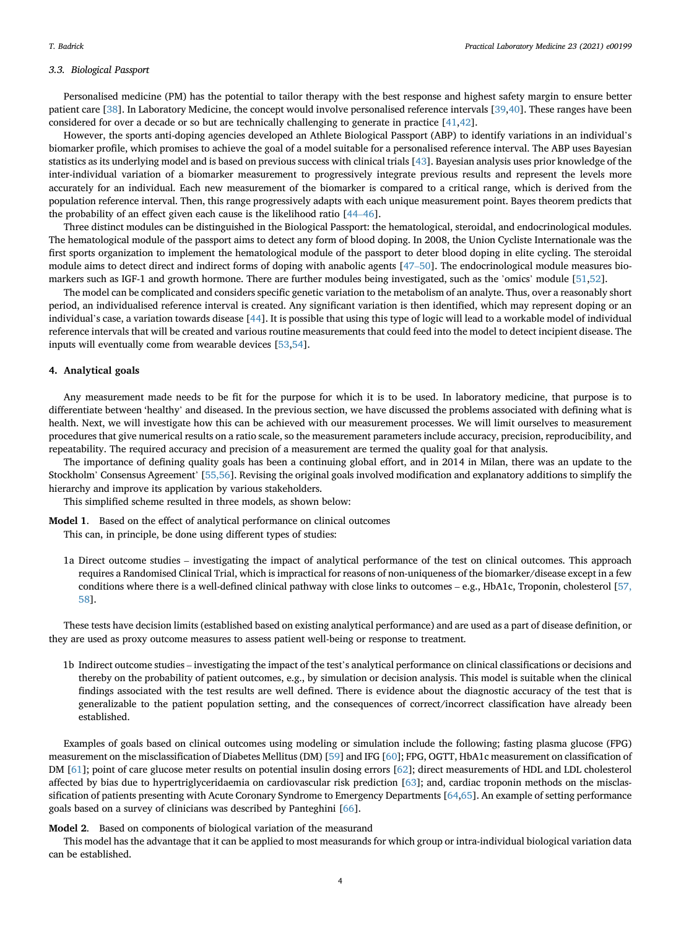#### 3.3. Biological Passport

Personalised medicine (PM) has the potential to tailor therapy with the best response and highest safety margin to ensure better patient care [\[38](#page-11-32)]. In Laboratory Medicine, the concept would involve personalised reference intervals [[39,](#page-11-33)[40\]](#page-11-34). These ranges have been considered for over a decade or so but are technically challenging to generate in practice [[41](#page-11-35),[42\]](#page-11-36).

However, the sports anti-doping agencies developed an Athlete Biological Passport (ABP) to identify variations in an individual'<sup>s</sup> biomarker profile, which promises to achieve the goal of a model suitable for a personalised reference interval. The ABP uses Bayesian statistics as its underlying model and is based on previous success with clinical trials [\[43](#page-11-37)]. Bayesian analysis uses prior knowledge of the inter-individual variation of a biomarker measurement to progressively integrate previous results and represent the levels more accurately for an individual. Each new measurement of the biomarker is compared to a critical range, which is derived from the population reference interval. Then, this range progressively adapts with each unique measurement point. Bayes theorem predicts that the probability of an effect given each cause is the likelihood ratio [\[44](#page-11-38)–[46](#page-11-38)].

Three distinct modules can be distinguished in the Biological Passport: the hematological, steroidal, and endocrinological modules. The hematological module of the passport aims to detect any form of blood doping. In 2008, the Union Cycliste Internationale was the first sports organization to implement the hematological module of the passport to deter blood doping in elite cycling. The steroidal module aims to detect direct and indirect forms of doping with anabolic agents [[47](#page-12-0)–[50](#page-12-0)]. The endocrinological module measures biomarkers such as IGF-1 and growth hormone. There are further modules being investigated, such as the 'omics' module [[51,](#page-12-1)[52\]](#page-12-2).

The model can be complicated and considers specific genetic variation to the metabolism of an analyte. Thus, over a reasonably short period, an individualised reference interval is created. Any significant variation is then identified, which may represent doping or an individual's case, a variation towards disease [\[44\]](#page-11-38). It is possible that using this type of logic will lead to a workable model of individual reference intervals that will be created and various routine measurements that could feed into the model to detect incipient disease. The inputs will eventually come from wearable devices [[53](#page-12-3),[54\]](#page-12-4).

#### 4. Analytical goals

Any measurement made needs to be fit for the purpose for which it is to be used. In laboratory medicine, that purpose is to differentiate between 'healthy' and diseased. In the previous section, we have discussed the problems associated with defining what is health. Next, we will investigate how this can be achieved with our measurement processes. We will limit ourselves to measurement procedures that give numerical results on a ratio scale, so the measurement parameters include accuracy, precision, reproducibility, and repeatability. The required accuracy and precision of a measurement are termed the quality goal for that analysis.

The importance of defining quality goals has been a continuing global effort, and in 2014 in Milan, there was an update to the Stockholm' Consensus Agreement' [\[55,56](#page-12-5)]. Revising the original goals involved modification and explanatory additions to simplify the hierarchy and improve its application by various stakeholders.

This simplified scheme resulted in three models, as shown below:

- Model 1. Based on the effect of analytical performance on clinical outcomes This can, in principle, be done using different types of studies:
	- 1a Direct outcome studies investigating the impact of analytical performance of the test on clinical outcomes. This approach requires a Randomised Clinical Trial, which is impractical for reasons of non-uniqueness of the biomarker/disease except in a few conditions where there is a well-defined clinical pathway with close links to outcomes – e.g., HbA1c, Troponin, cholesterol [\[57,](#page-12-6) [58\]](#page-12-6).

These tests have decision limits (established based on existing analytical performance) and are used as a part of disease definition, or they are used as proxy outcome measures to assess patient well-being or response to treatment.

1b Indirect outcome studies – investigating the impact of the test's analytical performance on clinical classifications or decisions and thereby on the probability of patient outcomes, e.g., by simulation or decision analysis. This model is suitable when the clinical findings associated with the test results are well defined. There is evidence about the diagnostic accuracy of the test that is generalizable to the patient population setting, and the consequences of correct/incorrect classification have already been established.

Examples of goals based on clinical outcomes using modeling or simulation include the following; fasting plasma glucose (FPG) measurement on the misclassification of Diabetes Mellitus (DM) [[59\]](#page-12-7) and IFG [[60\]](#page-12-8); FPG, OGTT, HbA1c measurement on classification of DM [\[61\]](#page-12-9); point of care glucose meter results on potential insulin dosing errors [[62\]](#page-12-10); direct measurements of HDL and LDL cholesterol affected by bias due to hypertriglyceridaemia on cardiovascular risk prediction [\[63](#page-12-11)]; and, cardiac troponin methods on the misclassification of patients presenting with Acute Coronary Syndrome to Emergency Departments [[64,](#page-12-12)[65\]](#page-12-13). An example of setting performance goals based on a survey of clinicians was described by Panteghini [\[66](#page-12-14)].

#### Model 2. Based on components of biological variation of the measurand

This model has the advantage that it can be applied to most measurands for which group or intra-individual biological variation data can be established.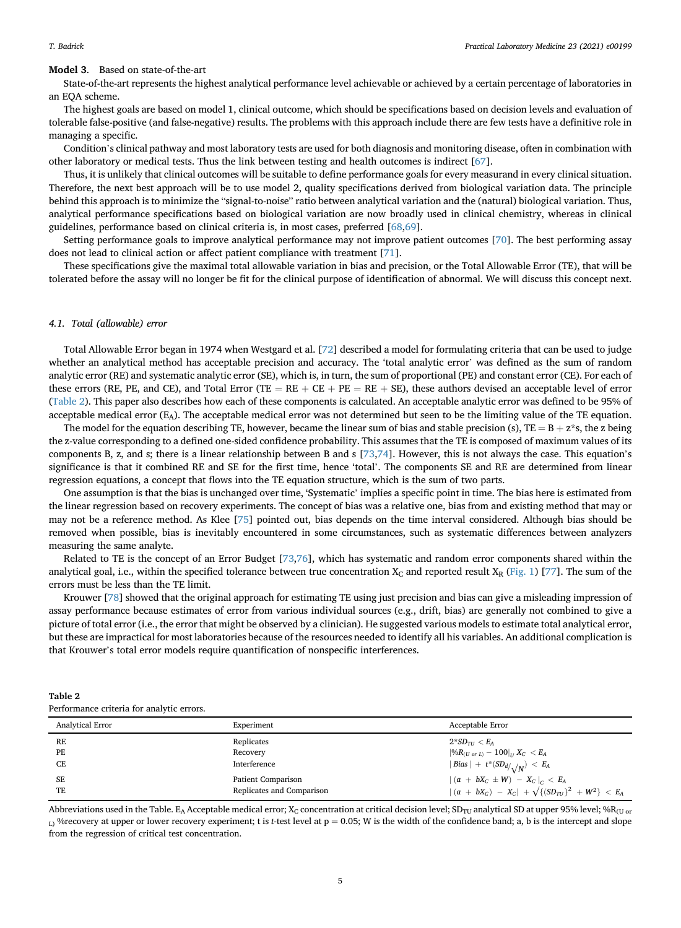#### Model 3. Based on state-of-the-art

State-of-the-art represents the highest analytical performance level achievable or achieved by a certain percentage of laboratories in an EQA scheme.

The highest goals are based on model 1, clinical outcome, which should be specifications based on decision levels and evaluation of tolerable false-positive (and false-negative) results. The problems with this approach include there are few tests have a definitive role in managing a specific.

Condition's clinical pathway and most laboratory tests are used for both diagnosis and monitoring disease, often in combination with other laboratory or medical tests. Thus the link between testing and health outcomes is indirect [[67\]](#page-12-15).

Thus, it is unlikely that clinical outcomes will be suitable to define performance goals for every measurand in every clinical situation. Therefore, the next best approach will be to use model 2, quality specifications derived from biological variation data. The principle behind this approach is to minimize the "signal-to-noise" ratio between analytical variation and the (natural) biological variation. Thus, analytical performance specifications based on biological variation are now broadly used in clinical chemistry, whereas in clinical guidelines, performance based on clinical criteria is, in most cases, preferred [[68,](#page-12-16)[69\]](#page-12-17).

Setting performance goals to improve analytical performance may not improve patient outcomes [\[70](#page-12-18)]. The best performing assay does not lead to clinical action or affect patient compliance with treatment [\[71\]](#page-12-19).

These specifications give the maximal total allowable variation in bias and precision, or the Total Allowable Error (TE), that will be tolerated before the assay will no longer be fit for the clinical purpose of identification of abnormal. We will discuss this concept next.

#### 4.1. Total (allowable) error

Total Allowable Error began in 1974 when Westgard et al. [[72\]](#page-12-20) described a model for formulating criteria that can be used to judge whether an analytical method has acceptable precision and accuracy. The 'total analytic error' was defined as the sum of random analytic error (RE) and systematic analytic error (SE), which is, in turn, the sum of proportional (PE) and constant error (CE). For each of these errors (RE, PE, and CE), and Total Error (TE =  $RE + CE + PE = RE + SE$ ), these authors devised an acceptable level of error ([Table 2\)](#page-4-0). This paper also describes how each of these components is calculated. An acceptable analytic error was defined to be 95% of acceptable medical error  $(E_A)$ . The acceptable medical error was not determined but seen to be the limiting value of the TE equation.

The model for the equation describing TE, however, became the linear sum of bias and stable precision (s), TE =  $B + z^*s$ , the z being the z-value corresponding to a defined one-sided confidence probability. This assumes that the TE is composed of maximum values of its components B, z, and s; there is a linear relationship between B and s [[73,](#page-12-21)[74\]](#page-12-22). However, this is not always the case. This equation'<sup>s</sup> significance is that it combined RE and SE for the first time, hence 'total'. The components SE and RE are determined from linear regression equations, a concept that flows into the TE equation structure, which is the sum of two parts.

One assumption is that the bias is unchanged over time, 'Systematic' implies a specific point in time. The bias here is estimated from the linear regression based on recovery experiments. The concept of bias was a relative one, bias from and existing method that may or may not be a reference method. As Klee [\[75](#page-12-23)] pointed out, bias depends on the time interval considered. Although bias should be removed when possible, bias is inevitably encountered in some circumstances, such as systematic differences between analyzers measuring the same analyte.

Related to TE is the concept of an Error Budget [\[73](#page-12-21)[,76](#page-12-24)], which has systematic and random error components shared within the analytical goal, i.e., within the specified tolerance between true concentration  $X_C$  and reported result  $X_R$  ([Fig. 1\)](#page-5-0) [\[77](#page-12-25)]. The sum of the errors must be less than the TE limit.

Krouwer [\[78](#page-12-26)] showed that the original approach for estimating TE using just precision and bias can give a misleading impression of assay performance because estimates of error from various individual sources (e.g., drift, bias) are generally not combined to give a picture of total error (i.e., the error that might be observed by a clinician). He suggested various models to estimate total analytical error, but these are impractical for most laboratories because of the resources needed to identify all his variables. An additional complication is that Krouwer's total error models require quantification of nonspecific interferences.

<span id="page-4-0"></span>

| Table 2                                   |  |
|-------------------------------------------|--|
| Performance criteria for analytic errors. |  |

| <b>Analytical Error</b> | Experiment                | Acceptable Error                                            |
|-------------------------|---------------------------|-------------------------------------------------------------|
| RE                      | Replicates                | $2*SD_{TI} < E_A$                                           |
| PE                      | Recovery                  | $ \%R_{(U \text{ or } L)} - 100 _{U} X_C < E_A$             |
| CE                      | Interference              | Bias   + $t^*(SD_d/\sqrt{N}) < E_A$                         |
| SE                      | Patient Comparison        | $ (a + bX_C \pm W) - X_C _C < E_A$                          |
| TE                      | Replicates and Comparison | $ (a + bX_C) - X_C  + \sqrt{\{(SD_{TU}\}^2 + W^2\}} < E_A)$ |

Abbreviations used in the Table. E<sub>A</sub> Acceptable medical error; X<sub>C</sub> concentration at critical decision level; SD<sub>TU</sub> analytical SD at upper 95% level; %R<sub>(U or</sub>  $_{L}$ ) %recovery at upper or lower recovery experiment; t is t-test level at  $p = 0.05$ ; W is the width of the confidence band; a, b is the intercept and slope from the regression of critical test concentration.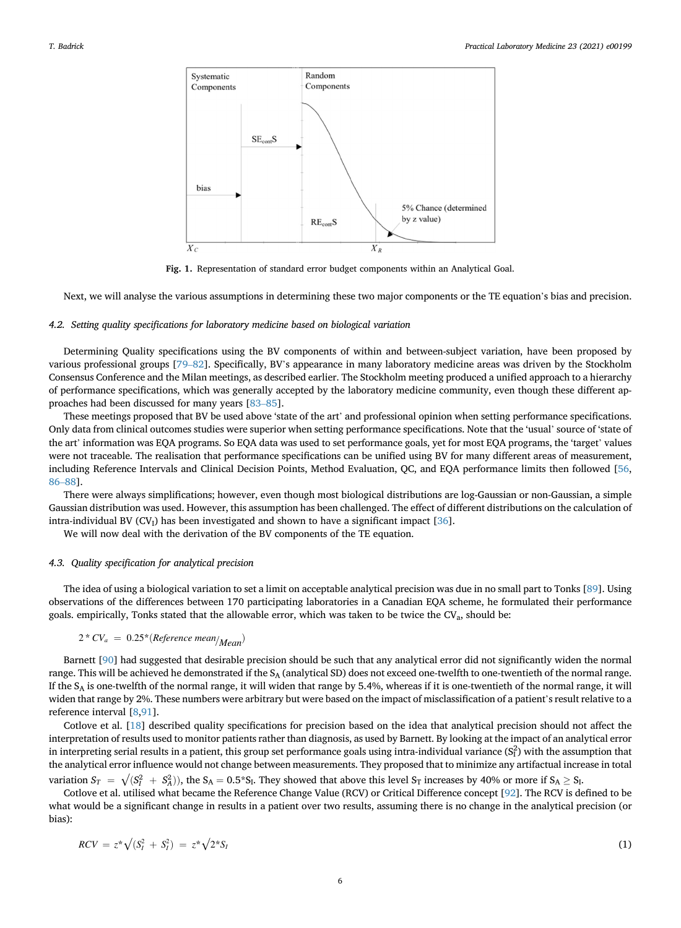<span id="page-5-0"></span>

Fig. 1. Representation of standard error budget components within an Analytical Goal.

Next, we will analyse the various assumptions in determining these two major components or the TE equation's bias and precision.

#### 4.2. Setting quality specifications for laboratory medicine based on biological variation

Determining Quality specifications using the BV components of within and between-subject variation, have been proposed by various professional groups [\[79](#page-12-27)–[82](#page-12-27)]. Specifically, BV's appearance in many laboratory medicine areas was driven by the Stockholm Consensus Conference and the Milan meetings, as described earlier. The Stockholm meeting produced a unified approach to a hierarchy of performance specifications, which was generally accepted by the laboratory medicine community, even though these different approaches had been discussed for many years [[83](#page-12-28)–[85\]](#page-12-28).

These meetings proposed that BV be used above 'state of the art' and professional opinion when setting performance specifications. Only data from clinical outcomes studies were superior when setting performance specifications. Note that the 'usual' source of 'state of the art' information was EQA programs. So EQA data was used to set performance goals, yet for most EQA programs, the 'target' values were not traceable. The realisation that performance specifications can be unified using BV for many different areas of measurement, including Reference Intervals and Clinical Decision Points, Method Evaluation, QC, and EQA performance limits then followed [\[56](#page-12-29), [86](#page-12-30)–[88\]](#page-12-30).

There were always simplifications; however, even though most biological distributions are log-Gaussian or non-Gaussian, a simple Gaussian distribution was used. However, this assumption has been challenged. The effect of different distributions on the calculation of intra-individual BV  $(CV<sub>l</sub>)$  has been investigated and shown to have a significant impact [[36\]](#page-11-30).

We will now deal with the derivation of the BV components of the TE equation.

#### 4.3. Quality specification for analytical precision

The idea of using a biological variation to set a limit on acceptable analytical precision was due in no small part to Tonks [\[89](#page-12-31)]. Using observations of the differences between 170 participating laboratories in a Canadian EQA scheme, he formulated their performance goals. empirically, Tonks stated that the allowable error, which was taken to be twice the CV<sub>a</sub>, should be:

$$
2 * CV_a = 0.25 * (Reference \, mean/Mean)
$$

Barnett [[90\]](#page-12-32) had suggested that desirable precision should be such that any analytical error did not significantly widen the normal range. This will be achieved he demonstrated if the  $S_A$  (analytical SD) does not exceed one-twelfth to one-twentieth of the normal range. If the  $S_A$  is one-twelfth of the normal range, it will widen that range by 5.4%, whereas if it is one-twentieth of the normal range, it will widen that range by 2%. These numbers were arbitrary but were based on the impact of misclassification of a patient's result relative to a reference interval [\[8,](#page-11-6)[91\]](#page-13-0).

Cotlove et al. [\[18\]](#page-11-14) described quality specifications for precision based on the idea that analytical precision should not affect the interpretation of results used to monitor patients rather than diagnosis, as used by Barnett. By looking at the impact of an analytical error in interpreting serial results in a patient, this group set performance goals using intra-individual variance  $(S_I^2)$  with the assumption that the analytical error influence would not change between measurements. They proposed that to minimize any artifactual increase in total variation  $S_T = \sqrt{(S_1^2 + S_4^2)}$ , the  $S_A = 0.5*S_I$ . They showed that above this level  $S_T$  increases by 40% or more if  $S_A \geq S_I$ .<br>Cetters at al. utilized what because the Reference Change Nelve (RCV) or Critical Difference

Cotlove et al. utilised what became the Reference Change Value (RCV) or Critical Difference concept [[92](#page-13-1)]. The RCV is defined to be what would be a significant change in results in a patient over two results, assuming there is no change in the analytical precision (or bias):

$$
RCV = z^* \sqrt{(S_I^2 + S_I^2)} = z^* \sqrt{2^* S_I}
$$
 (1)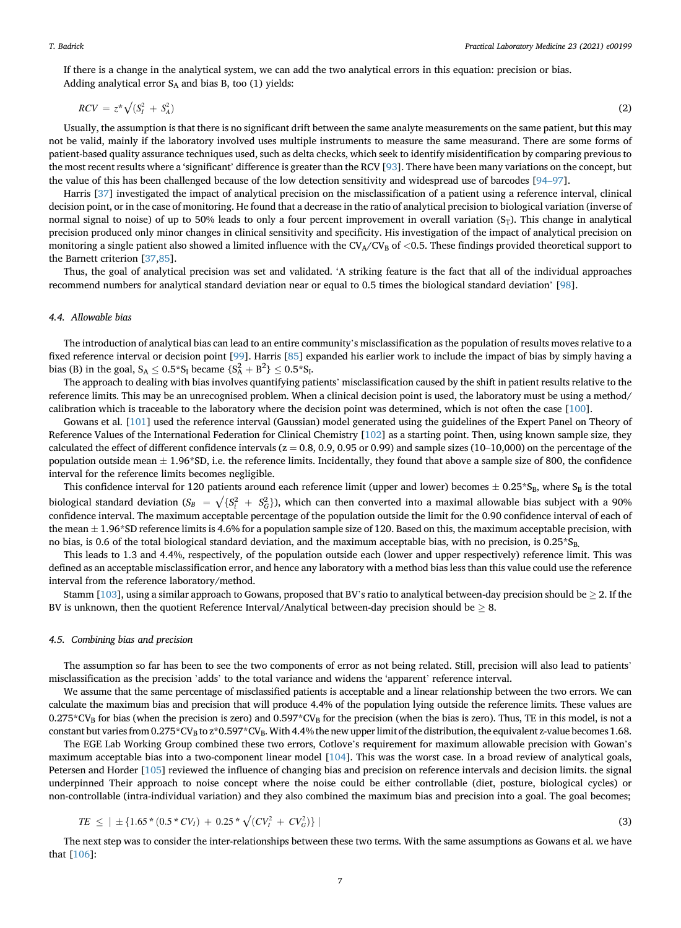If there is a change in the analytical system, we can add the two analytical errors in this equation: precision or bias. Adding analytical error  $S_A$  and bias B, too (1) yields:

$$
RCV = z^* \sqrt{(S_I^2 + S_A^2)}
$$
 (2)

Usually, the assumption is that there is no significant drift between the same analyte measurements on the same patient, but this may not be valid, mainly if the laboratory involved uses multiple instruments to measure the same measurand. There are some forms of patient-based quality assurance techniques used, such as delta checks, which seek to identify misidentification by comparing previous to the most recent results where a 'significant' difference is greater than the RCV [[93\]](#page-13-2). There have been many variations on the concept, but the value of this has been challenged because of the low detection sensitivity and widespread use of barcodes [[94](#page-13-3)–[97\]](#page-13-3).

Harris [\[37](#page-11-31)] investigated the impact of analytical precision on the misclassification of a patient using a reference interval, clinical decision point, or in the case of monitoring. He found that a decrease in the ratio of analytical precision to biological variation (inverse of normal signal to noise) of up to 50% leads to only a four percent improvement in overall variation  $(S_T)$ . This change in analytical precision produced only minor changes in clinical sensitivity and specificity. His investigation of the impact of analytical precision on monitoring a single patient also showed a limited influence with the CV<sub>A</sub>/CV<sub>B</sub> of <0.5. These findings provided theoretical support to the Barnett criterion [[37,](#page-11-31)[85](#page-12-33)].

Thus, the goal of analytical precision was set and validated. 'A striking feature is the fact that all of the individual approaches recommend numbers for analytical standard deviation near or equal to 0.5 times the biological standard deviation' [[98\]](#page-13-4).

#### 4.4. Allowable bias

The introduction of analytical bias can lead to an entire community's misclassification as the population of results moves relative to a fixed reference interval or decision point [[99](#page-13-5)]. Harris [\[85](#page-12-33)] expanded his earlier work to include the impact of bias by simply having a bias (B) in the goal,  $S_A \leq 0.5^*S_I$  became  $\{S_A^2 + B^2\} \leq 0.5^*S_I$ .<br>The approach to dopling with bias involves quantifying particles

The approach to dealing with bias involves quantifying patients' misclassification caused by the shift in patient results relative to the reference limits. This may be an unrecognised problem. When a clinical decision point is used, the laboratory must be using a method/ calibration which is traceable to the laboratory where the decision point was determined, which is not often the case [\[100\]](#page-13-6).

Gowans et al. [[101](#page-13-7)] used the reference interval (Gaussian) model generated using the guidelines of the Expert Panel on Theory of Reference Values of the International Federation for Clinical Chemistry [[102](#page-13-8)] as a starting point. Then, using known sample size, they calculated the effect of different confidence intervals ( $z = 0.8, 0.9, 0.95$  or 0.99) and sample sizes (10–10,000) on the percentage of the population outside mean  $\pm$  1.96\*SD, i.e. the reference limits. Incidentally, they found that above a sample size of 800, the confidence interval for the reference limits becomes negligible.

This confidence interval for 120 patients around each reference limit (upper and lower) becomes  $\pm$  0.25\*S<sub>B</sub>, where S<sub>B</sub> is the total biological standard deviation  $(S_B = \sqrt{S_f^2 + S_G^2}$ ), which can then converted into a maximal allowable bias subject with a 90%<br>confidence interval. The maximum accordable percentage of the population outside the limit for t confidence interval. The maximum acceptable percentage of the population outside the limit for the 0.90 confidence interval of each of the mean  $\pm$  1.96\*SD reference limits is 4.6% for a population sample size of 120. Based on this, the maximum acceptable precision, with no bias, is 0.6 of the total biological standard deviation, and the maximum acceptable bias, with no precision, is  $0.25*S_B$ .

This leads to 1.3 and 4.4%, respectively, of the population outside each (lower and upper respectively) reference limit. This was defined as an acceptable misclassification error, and hence any laboratory with a method bias less than this value could use the reference interval from the reference laboratory/method.

Stamm [\[103\]](#page-13-9), using a similar approach to Gowans, proposed that BV's ratio to analytical between-day precision should be  $\geq 2$ . If the BV is unknown, then the quotient Reference Interval/Analytical between-day precision should be  $\geq 8$ .

### 4.5. Combining bias and precision

The assumption so far has been to see the two components of error as not being related. Still, precision will also lead to patients' misclassification as the precision 'adds' to the total variance and widens the 'apparent' reference interval.

We assume that the same percentage of misclassified patients is acceptable and a linear relationship between the two errors. We can calculate the maximum bias and precision that will produce 4.4% of the population lying outside the reference limits. These values are  $0.275*CV_B$  for bias (when the precision is zero) and  $0.597*CV_B$  for the precision (when the bias is zero). Thus, TE in this model, is not a constant but varies from  $0.275^{\circ}$ CVB to  $z^*0.597^{\circ}$ CVB. With 4.4% the new upper limit of the distribution, the equivalent z-value becomes 1.68.

The EGE Lab Working Group combined these two errors, Cotlove's requirement for maximum allowable precision with Gowan'<sup>s</sup> maximum acceptable bias into a two-component linear model [\[104\]](#page-13-10). This was the worst case. In a broad review of analytical goals, Petersen and Horder [[105](#page-13-11)] reviewed the influence of changing bias and precision on reference intervals and decision limits. the signal underpinned Their approach to noise concept where the noise could be either controllable (diet, posture, biological cycles) or non-controllable (intra-individual variation) and they also combined the maximum bias and precision into a goal. The goal becomes;

$$
TE \leq \left| \pm \left\{ 1.65 \times (0.5 \times CV_I) + 0.25 \times \sqrt{(CV_I^2 + CV_G^2)} \right\} \right|
$$
\n(3)

The next step was to consider the inter-relationships between these two terms. With the same assumptions as Gowans et al. we have that [[106\]](#page-13-12):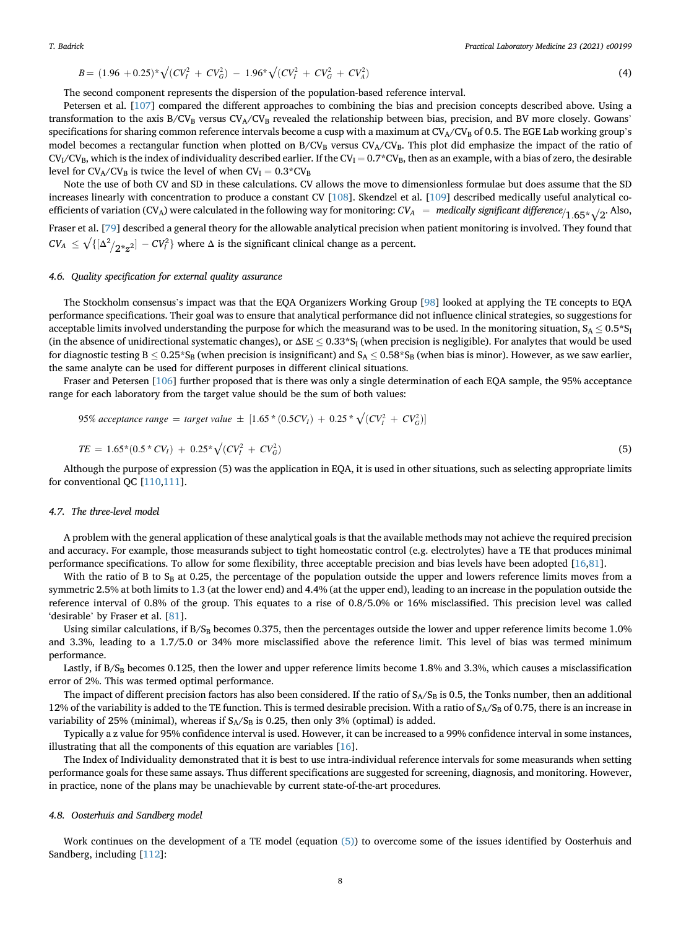$$
B = (1.96 + 0.25)^{*} \sqrt{(CV_{I}^{2} + CV_{G}^{2})} - 1.96^{*} \sqrt{(CV_{I}^{2} + CV_{G}^{2} + CV_{A}^{2})}
$$
\n(4)

The second component represents the dispersion of the population-based reference interval.

Petersen et al. [\[107\]](#page-13-13) compared the different approaches to combining the bias and precision concepts described above. Using a transformation to the axis  $B/CV_B$  versus  $CV_A/CV_B$  revealed the relationship between bias, precision, and BV more closely. Gowans' specifications for sharing common reference intervals become a cusp with a maximum at  $CV_A/CV_B$  of 0.5. The EGE Lab working group's model becomes a rectangular function when plotted on  $B/CV_B$  versus  $CV_A/CV_B$ . This plot did emphasize the impact of the ratio of  $CV<sub>I</sub>/CV<sub>B</sub>$ , which is the index of individuality described earlier. If the  $CV<sub>I</sub> = 0.7*CV<sub>B</sub>$ , then as an example, with a bias of zero, the desirable level for  $CV_A/CV_B$  is twice the level of when  $CV_I = 0.3*CV_B$ 

Note the use of both CV and SD in these calculations. CV allows the move to dimensionless formulae but does assume that the SD increases linearly with concentration to produce a constant CV [\[108\]](#page-13-14). Skendzel et al. [[109](#page-13-15)] described medically useful analytical coefficients of variation (CV<sub>A</sub>) were calculated in the following way for monitoring:  $CV_A$  = medically significant difference/<sub>1.65</sub>\*√2. Also,

Fraser et al. [\[79](#page-12-27)] described a general theory for the allowable analytical precision when patient monitoring is involved. They found that  $CV_A \leq \sqrt{\{[\Delta^2/\Delta^2 \times \mathbf{Z}^2] - CV_I^2\}}$  where  $\Delta$  is the significant clinical change as a percent.

## 4.6. Quality specification for external quality assurance

The Stockholm consensus's impact was that the EQA Organizers Working Group [\[98](#page-13-4)] looked at applying the TE concepts to EQA performance specifications. Their goal was to ensure that analytical performance did not influence clinical strategies, so suggestions for acceptable limits involved understanding the purpose for which the measurand was to be used. In the monitoring situation,  $S_A \leq 0.5*S_I$ (in the absence of unidirectional systematic changes), or  $\Delta SE \leq 0.33*S_I$  (when precision is negligible). For analytes that would be used for diagnostic testing B < 0.25\*S<sub>B</sub> (when precision is insignificant) and S<sub>A</sub> < 0.58\*S<sub>B</sub> (when bias is minor). However, as we saw earlier, the same analyte can be used for different purposes in different clinical situations.

Fraser and Petersen [[106](#page-13-12)] further proposed that is there was only a single determination of each EQA sample, the 95% acceptance range for each laboratory from the target value should be the sum of both values:

<span id="page-7-0"></span>95% acceptance range = target value 
$$
\pm [1.65 * (0.5CV_1) + 0.25 * \sqrt{(CV_1^2 + CV_G^2)}]
$$

$$
TE = 1.65*(0.5*CV_I) + 0.25*\sqrt{(CV_I^2 + CV_G^2)}
$$
\n(5)

Although the purpose of expression (5) was the application in EQA, it is used in other situations, such as selecting appropriate limits for conventional QC [\[110,](#page-13-16)[111](#page-13-17)].

#### 4.7. The three-level model

A problem with the general application of these analytical goals is that the available methods may not achieve the required precision and accuracy. For example, those measurands subject to tight homeostatic control (e.g. electrolytes) have a TE that produces minimal performance specifications. To allow for some flexibility, three acceptable precision and bias levels have been adopted [[16,](#page-11-12)[81\]](#page-12-34).

With the ratio of B to  $S_B$  at 0.25, the percentage of the population outside the upper and lowers reference limits moves from a symmetric 2.5% at both limits to 1.3 (at the lower end) and 4.4% (at the upper end), leading to an increase in the population outside the reference interval of 0.8% of the group. This equates to a rise of 0.8/5.0% or 16% misclassified. This precision level was called 'desirable' by Fraser et al. [\[81](#page-12-34)].

Using similar calculations, if B/SB becomes 0.375, then the percentages outside the lower and upper reference limits become 1.0% and 3.3%, leading to a 1.7/5.0 or 34% more misclassified above the reference limit. This level of bias was termed minimum performance.

Lastly, if  $B/S_B$  becomes 0.125, then the lower and upper reference limits become 1.8% and 3.3%, which causes a misclassification error of 2%. This was termed optimal performance.

The impact of different precision factors has also been considered. If the ratio of  $S_A/S_B$  is 0.5, the Tonks number, then an additional 12% of the variability is added to the TE function. This is termed desirable precision. With a ratio of  $S_A/S_B$  of 0.75, there is an increase in variability of 25% (minimal), whereas if  $S_A/S_B$  is 0.25, then only 3% (optimal) is added.

Typically a z value for 95% confidence interval is used. However, it can be increased to a 99% confidence interval in some instances, illustrating that all the components of this equation are variables [\[16\]](#page-11-12).

The Index of Individuality demonstrated that it is best to use intra-individual reference intervals for some measurands when setting performance goals for these same assays. Thus different specifications are suggested for screening, diagnosis, and monitoring. However, in practice, none of the plans may be unachievable by current state-of-the-art procedures.

#### 4.8. Oosterhuis and Sandberg model

Work continues on the development of a TE model (equation [\(5\)](#page-7-0)) to overcome some of the issues identified by Oosterhuis and Sandberg, including [[112\]](#page-13-18):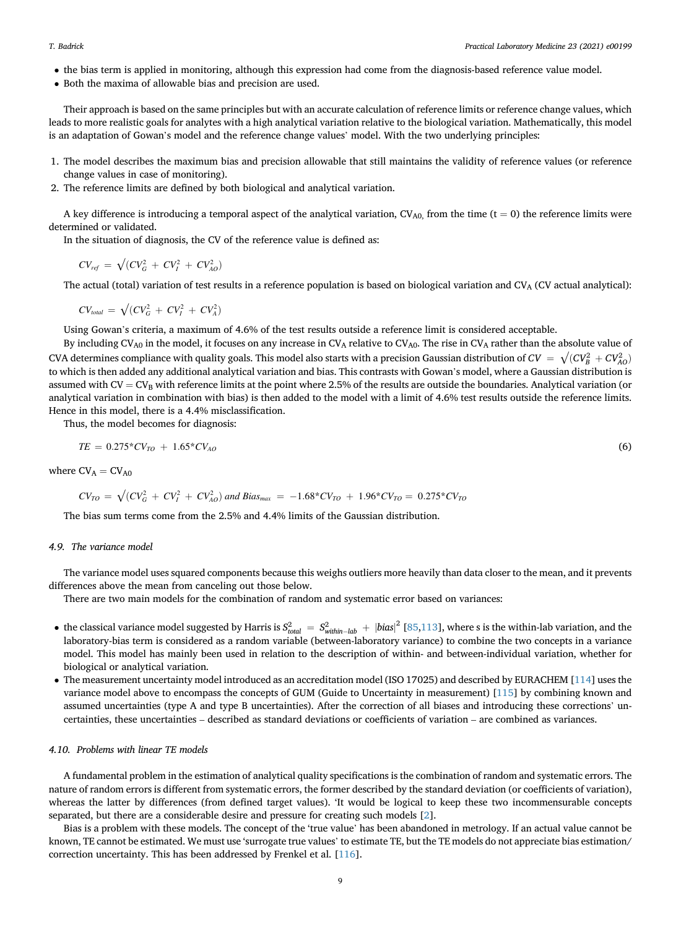- the bias term is applied in monitoring, although this expression had come from the diagnosis-based reference value model.
- Both the maxima of allowable bias and precision are used.

Their approach is based on the same principles but with an accurate calculation of reference limits or reference change values, which leads to more realistic goals for analytes with a high analytical variation relative to the biological variation. Mathematically, this model is an adaptation of Gowan's model and the reference change values' model. With the two underlying principles:

- 1. The model describes the maximum bias and precision allowable that still maintains the validity of reference values (or reference change values in case of monitoring).
- 2. The reference limits are defined by both biological and analytical variation.

A key difference is introducing a temporal aspect of the analytical variation,  $CV_{A0}$ , from the time (t = 0) the reference limits were determined or validated.

In the situation of diagnosis, the CV of the reference value is defined as:

$$
CV_{ref} = \sqrt{(CV_G^2 + CV_I^2 + CV_{AO}^2)}
$$

The actual (total) variation of test results in a reference population is based on biological variation and  $CV_A$  (CV actual analytical):

$$
CVtotal = \sqrt{(CVG2 + CVI2 + CVA2)}
$$

Using Gowan's criteria, a maximum of 4.6% of the test results outside a reference limit is considered acceptable.

By including CV<sub>A0</sub> in the model, it focuses on any increase in CV<sub>A</sub> relative to CV<sub>A0</sub>. The rise in CV<sub>A</sub> rather than the absolute value of CVA determines compliance with quality goals. This model also starts with a precision Gaussian distribution of  $CV = \sqrt{(CV_B^2 + CV_A^2)}$ to which is then added any additional analytical variation and bias. This contrasts with Gowan's model, where a Gaussian distribution is assumed with CV =  $CV_B$  with reference limits at the point where 2.5% of the results are outside the boundaries. Analytical variation (or analytical variation in combination with bias) is then added to the model with a limit of 4.6% test results outside the reference limits. Hence in this model, there is a 4.4% misclassification.

Thus, the model becomes for diagnosis:

$$
TE = 0.275 \times CV_{TO} + 1.65 \times CV_{AO}
$$
\n<sup>(6)</sup>

where  $CV_A = CV_{A0}$ 

$$
CV_{TO} = \sqrt{(CV_G^2 + CV_I^2 + CV_{AO}^2)} \text{ and Bias}_{max} = -1.68 \cdot CV_{TO} + 1.96 \cdot CV_{TO} = 0.275 \cdot CV_{TO}
$$

The bias sum terms come from the 2.5% and 4.4% limits of the Gaussian distribution.

#### 4.9. The variance model

The variance model uses squared components because this weighs outliers more heavily than data closer to the mean, and it prevents differences above the mean from canceling out those below.

There are two main models for the combination of random and systematic error based on variances:

- the classical variance model suggested by Harris is  $S_{total}^2 = S_{within-lab}^2 + |bias|^2$  [[85,](#page-12-33)[113](#page-13-19)], where s is the within-lab variation, and the local variation is expected by Harris is  $S_{total}^2 = S_{within-lab}^2 + |bias|^2$  [85,113], where s is the laboratory-bias term is considered as a random variable (between-laboratory variance) to combine the two concepts in a variance model. This model has mainly been used in relation to the description of within- and between-individual variation, whether for biological or analytical variation.
- The measurement uncertainty model introduced as an accreditation model (ISO 17025) and described by EURACHEM [\[114\]](#page-13-20) uses the variance model above to encompass the concepts of GUM (Guide to Uncertainty in measurement) [\[115\]](#page-13-21) by combining known and assumed uncertainties (type A and type B uncertainties). After the correction of all biases and introducing these corrections' uncertainties, these uncertainties – described as standard deviations or coefficients of variation – are combined as variances.

### 4.10. Problems with linear TE models

A fundamental problem in the estimation of analytical quality specifications is the combination of random and systematic errors. The nature of random errors is different from systematic errors, the former described by the standard deviation (or coefficients of variation), whereas the latter by differences (from defined target values). 'It would be logical to keep these two incommensurable concepts separated, but there are a considerable desire and pressure for creating such models [\[2\]](#page-11-1).

Bias is a problem with these models. The concept of the 'true value' has been abandoned in metrology. If an actual value cannot be known, TE cannot be estimated. We must use 'surrogate true values' to estimate TE, but the TE models do not appreciate bias estimation/ correction uncertainty. This has been addressed by Frenkel et al. [[116](#page-13-22)].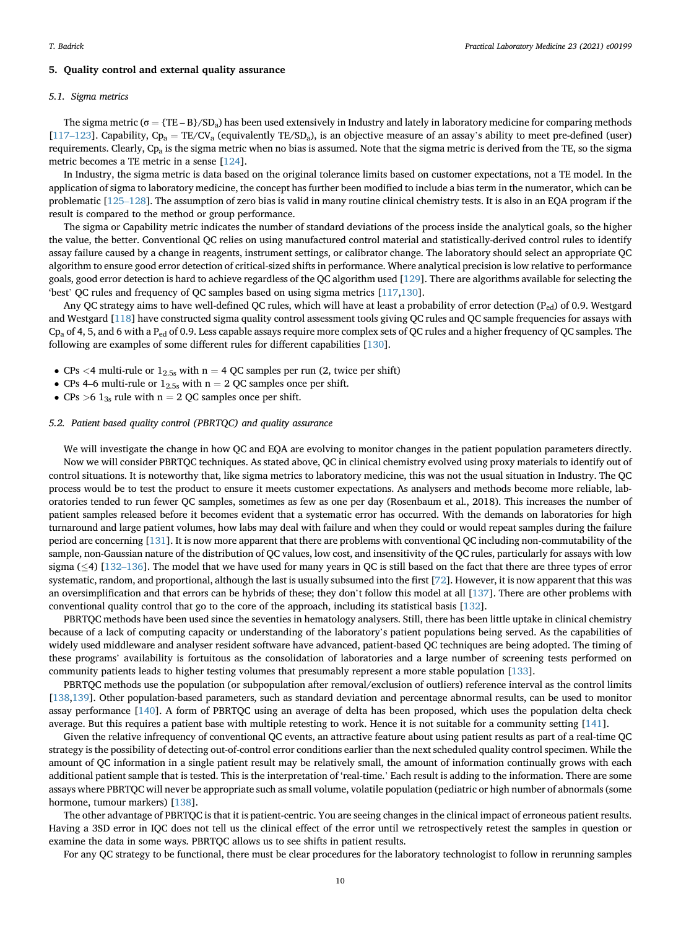#### 5. Quality control and external quality assurance

### 5.1. Sigma metrics

The sigma metric ( $\sigma = {TE - B}/SD_a$ ) has been used extensively in Industry and lately in laboratory medicine for comparing methods [\[117](#page-13-23)–[123](#page-13-23)]. Capability,  $Cp_a = TE/CV_a$  (equivalently  $TE/SD_a$ ), is an objective measure of an assay's ability to meet pre-defined (user) requirements. Clearly,  $Cp_a$  is the sigma metric when no bias is assumed. Note that the sigma metric is derived from the TE, so the sigma metric becomes a TE metric in a sense [[124](#page-13-24)].

In Industry, the sigma metric is data based on the original tolerance limits based on customer expectations, not a TE model. In the application of sigma to laboratory medicine, the concept has further been modified to include a bias term in the numerator, which can be problematic [[125](#page-13-25)–[128\]](#page-13-25). The assumption of zero bias is valid in many routine clinical chemistry tests. It is also in an EQA program if the result is compared to the method or group performance.

The sigma or Capability metric indicates the number of standard deviations of the process inside the analytical goals, so the higher the value, the better. Conventional QC relies on using manufactured control material and statistically-derived control rules to identify assay failure caused by a change in reagents, instrument settings, or calibrator change. The laboratory should select an appropriate QC algorithm to ensure good error detection of critical-sized shifts in performance. Where analytical precision is low relative to performance goals, good error detection is hard to achieve regardless of the QC algorithm used [[129](#page-13-26)]. There are algorithms available for selecting the 'best' QC rules and frequency of QC samples based on using sigma metrics [\[117,](#page-13-23)[130](#page-13-27)].

Any QC strategy aims to have well-defined QC rules, which will have at least a probability of error detection  $(P_{ed})$  of 0.9. Westgard and Westgard [[118\]](#page-13-28) have constructed sigma quality control assessment tools giving QC rules and QC sample frequencies for assays with  $Cp<sub>a</sub>$  of 4, 5, and 6 with a P<sub>ed</sub> of 0.9. Less capable assays require more complex sets of QC rules and a higher frequency of QC samples. The following are examples of some different rules for different capabilities [[130](#page-13-27)].

- CPs <4 multi-rule or  $1_{2.5s}$  with n = 4 QC samples per run (2, twice per shift)
- CPs 4–6 multi-rule or  $1_{2.5s}$  with n = 2 QC samples once per shift.
- CPs  $>6$  1<sub>3s</sub> rule with n = 2 QC samples once per shift.

#### 5.2. Patient based quality control (PBRTQC) and quality assurance

We will investigate the change in how QC and EQA are evolving to monitor changes in the patient population parameters directly. Now we will consider PBRTQC techniques. As stated above, QC in clinical chemistry evolved using proxy materials to identify out of control situations. It is noteworthy that, like sigma metrics to laboratory medicine, this was not the usual situation in Industry. The QC process would be to test the product to ensure it meets customer expectations. As analysers and methods become more reliable, laboratories tended to run fewer QC samples, sometimes as few as one per day (Rosenbaum et al., 2018). This increases the number of patient samples released before it becomes evident that a systematic error has occurred. With the demands on laboratories for high turnaround and large patient volumes, how labs may deal with failure and when they could or would repeat samples during the failure period are concerning [[131](#page-13-29)]. It is now more apparent that there are problems with conventional QC including non-commutability of the sample, non-Gaussian nature of the distribution of QC values, low cost, and insensitivity of the QC rules, particularly for assays with low sigma  $(\leq 4)$  [[132](#page-14-0)–[136\]](#page-14-0). The model that we have used for many years in QC is still based on the fact that there are three types of error systematic, random, and proportional, although the last is usually subsumed into the first [[72\]](#page-12-20). However, it is now apparent that this was an oversimplification and that errors can be hybrids of these; they don't follow this model at all [[137](#page-14-1)]. There are other problems with conventional quality control that go to the core of the approach, including its statistical basis [[132](#page-14-0)].

PBRTQC methods have been used since the seventies in hematology analysers. Still, there has been little uptake in clinical chemistry because of a lack of computing capacity or understanding of the laboratory's patient populations being served. As the capabilities of widely used middleware and analyser resident software have advanced, patient-based QC techniques are being adopted. The timing of these programs' availability is fortuitous as the consolidation of laboratories and a large number of screening tests performed on community patients leads to higher testing volumes that presumably represent a more stable population [\[133\]](#page-14-2).

PBRTQC methods use the population (or subpopulation after removal/exclusion of outliers) reference interval as the control limits [\[138,](#page-14-3)[139](#page-14-4)]. Other population-based parameters, such as standard deviation and percentage abnormal results, can be used to monitor assay performance [[140](#page-14-5)]. A form of PBRTQC using an average of delta has been proposed, which uses the population delta check average. But this requires a patient base with multiple retesting to work. Hence it is not suitable for a community setting [\[141\]](#page-14-6).

Given the relative infrequency of conventional QC events, an attractive feature about using patient results as part of a real-time QC strategy is the possibility of detecting out-of-control error conditions earlier than the next scheduled quality control specimen. While the amount of QC information in a single patient result may be relatively small, the amount of information continually grows with each additional patient sample that is tested. This is the interpretation of 'real-time.' Each result is adding to the information. There are some assays where PBRTQC will never be appropriate such as small volume, volatile population (pediatric or high number of abnormals (some hormone, tumour markers) [[138](#page-14-3)].

The other advantage of PBRTQC is that it is patient-centric. You are seeing changes in the clinical impact of erroneous patient results. Having a 3SD error in IQC does not tell us the clinical effect of the error until we retrospectively retest the samples in question or examine the data in some ways. PBRTQC allows us to see shifts in patient results.

For any QC strategy to be functional, there must be clear procedures for the laboratory technologist to follow in rerunning samples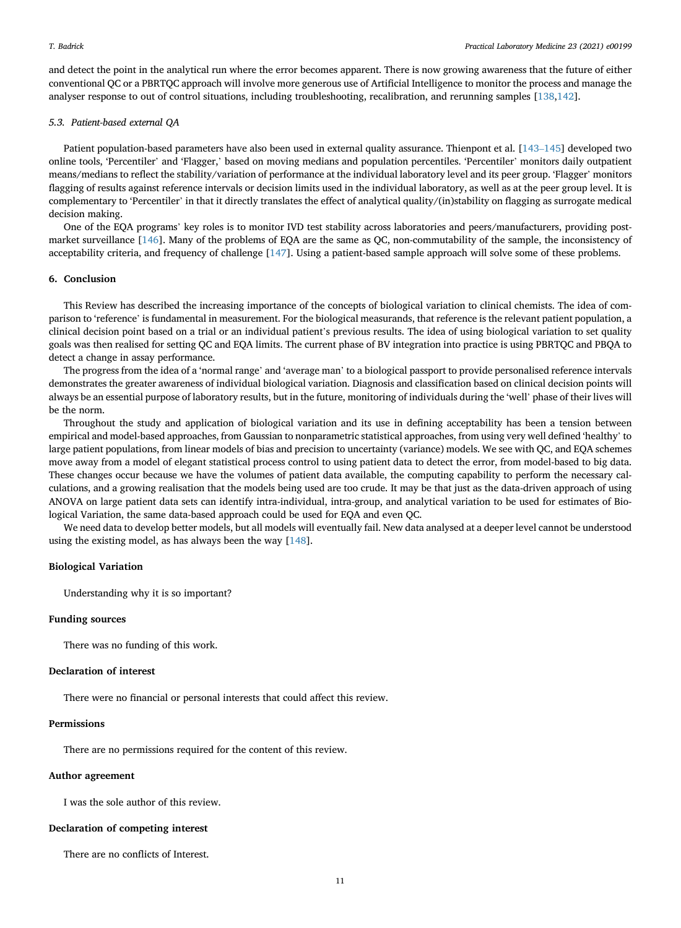and detect the point in the analytical run where the error becomes apparent. There is now growing awareness that the future of either conventional QC or a PBRTQC approach will involve more generous use of Artificial Intelligence to monitor the process and manage the analyser response to out of control situations, including troubleshooting, recalibration, and rerunning samples [\[138](#page-14-3),[142\]](#page-14-7).

#### 5.3. Patient-based external QA

Patient population-based parameters have also been used in external quality assurance. Thienpont et al. [[143](#page-14-8)–[145\]](#page-14-8) developed two online tools, 'Percentiler' and 'Flagger,' based on moving medians and population percentiles. 'Percentiler' monitors daily outpatient means/medians to reflect the stability/variation of performance at the individual laboratory level and its peer group. 'Flagger' monitors flagging of results against reference intervals or decision limits used in the individual laboratory, as well as at the peer group level. It is complementary to 'Percentiler' in that it directly translates the effect of analytical quality/(in)stability on flagging as surrogate medical decision making.

One of the EQA programs' key roles is to monitor IVD test stability across laboratories and peers/manufacturers, providing postmarket surveillance [[146\]](#page-14-9). Many of the problems of EQA are the same as QC, non-commutability of the sample, the inconsistency of acceptability criteria, and frequency of challenge [[147](#page-14-10)]. Using a patient-based sample approach will solve some of these problems.

### 6. Conclusion

This Review has described the increasing importance of the concepts of biological variation to clinical chemists. The idea of comparison to 'reference' is fundamental in measurement. For the biological measurands, that reference is the relevant patient population, a clinical decision point based on a trial or an individual patient's previous results. The idea of using biological variation to set quality goals was then realised for setting QC and EQA limits. The current phase of BV integration into practice is using PBRTQC and PBQA to detect a change in assay performance.

The progress from the idea of a 'normal range' and 'average man' to a biological passport to provide personalised reference intervals demonstrates the greater awareness of individual biological variation. Diagnosis and classification based on clinical decision points will always be an essential purpose of laboratory results, but in the future, monitoring of individuals during the 'well' phase of their lives will be the norm.

Throughout the study and application of biological variation and its use in defining acceptability has been a tension between empirical and model-based approaches, from Gaussian to nonparametric statistical approaches, from using very well defined 'healthy' to large patient populations, from linear models of bias and precision to uncertainty (variance) models. We see with QC, and EQA schemes move away from a model of elegant statistical process control to using patient data to detect the error, from model-based to big data. These changes occur because we have the volumes of patient data available, the computing capability to perform the necessary calculations, and a growing realisation that the models being used are too crude. It may be that just as the data-driven approach of using ANOVA on large patient data sets can identify intra-individual, intra-group, and analytical variation to be used for estimates of Biological Variation, the same data-based approach could be used for EQA and even QC.

We need data to develop better models, but all models will eventually fail. New data analysed at a deeper level cannot be understood using the existing model, as has always been the way [\[148\]](#page-14-11).

# Biological Variation

Understanding why it is so important?

# Funding sources

There was no funding of this work.

# Declaration of interest

There were no financial or personal interests that could affect this review.

# Permissions

There are no permissions required for the content of this review.

#### Author agreement

I was the sole author of this review.

#### Declaration of competing interest

There are no conflicts of Interest.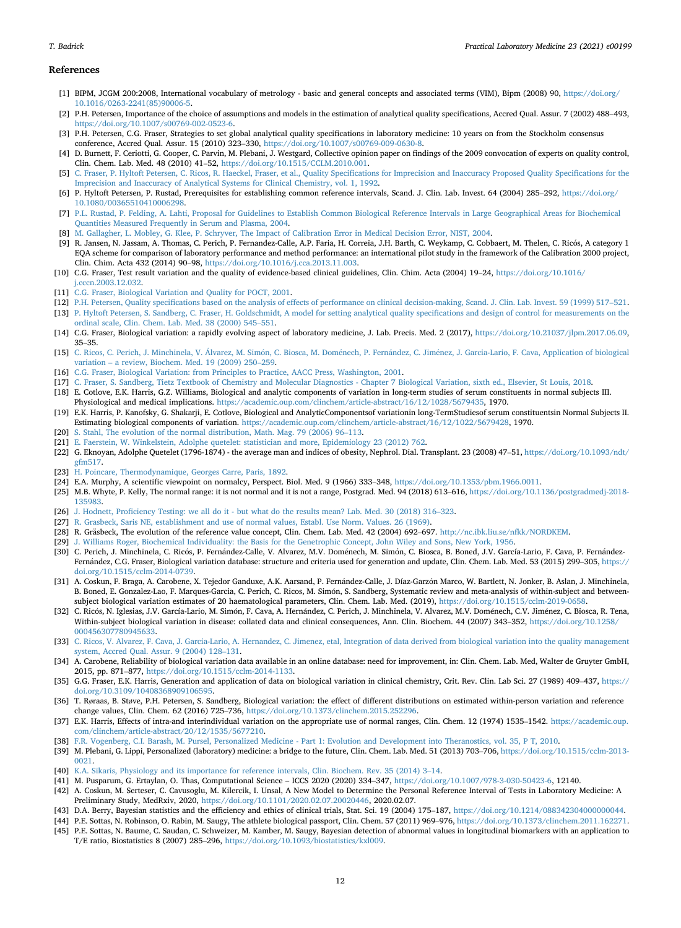#### References

- <span id="page-11-0"></span>[1] BIPM, JCGM 200:2008, International vocabulary of metrology - basic and general concepts and associated terms (VIM), Bipm (2008) 90, [https://doi.org/](https://doi.org/10.1016/0263-2241(85)90006-5) [10.1016/0263-2241\(85\)90006-5](https://doi.org/10.1016/0263-2241(85)90006-5).
- <span id="page-11-1"></span>[2] P.H. Petersen, Importance of the choice of assumptions and models in the estimation of analytical quality specifications, Accred Qual. Assur. 7 (2002) 488–493, <https://doi.org/10.1007/s00769-002-0523-6>.
- <span id="page-11-2"></span>[3] P.H. Petersen, C.G. Fraser, Strategies to set global analytical quality specifications in laboratory medicine: 10 years on from the Stockholm consensus conference, Accred Qual. Assur. 15 (2010) 323–330, <https://doi.org/10.1007/s00769-009-0630-8>.
- <span id="page-11-3"></span>[4] D. Burnett, F. Ceriotti, G. Cooper, C. Parvin, M. Plebani, J. Westgard, Collective opinion paper on findings of the 2009 convocation of experts on quality control, Clin. Chem. Lab. Med. 48 (2010) 41–52, [https://doi.org/10.1515/CCLM.2010.001.](https://doi.org/10.1515/CCLM.2010.001)
- <span id="page-11-4"></span>[5] [C. Fraser, P. Hyltoft Petersen, C. Ricos, R. Haeckel, Fraser, et al., Quality Speci](http://refhub.elsevier.com/S2352-5517(20)30162-1/sref5)fications for Imprecision and Inaccuracy Proposed Quality Specifications for the [Imprecision and Inaccuracy of Analytical Systems for Clinical Chemistry, vol. 1, 1992](http://refhub.elsevier.com/S2352-5517(20)30162-1/sref5).
- <span id="page-11-5"></span>[6] P. Hyltoft Petersen, P. Rustad, Prerequisites for establishing common reference intervals, Scand. J. Clin. Lab. Invest. 64 (2004) 285–292, [https://doi.org/](https://doi.org/10.1080/00365510410006298) [10.1080/00365510410006298](https://doi.org/10.1080/00365510410006298).
- [7] [P.L. Rustad, P. Felding, A. Lahti, Proposal for Guidelines to Establish Common Biological Reference Intervals in Large Geographical Areas for Biochemical](http://refhub.elsevier.com/S2352-5517(20)30162-1/sref7) [Quantities Measured Frequently in Serum and Plasma, 2004](http://refhub.elsevier.com/S2352-5517(20)30162-1/sref7).
- <span id="page-11-6"></span>[8] [M. Gallagher, L. Mobley, G. Klee, P. Schryver, The Impact of Calibration Error in Medical Decision Error, NIST, 2004](http://refhub.elsevier.com/S2352-5517(20)30162-1/sref8).
- <span id="page-11-7"></span>[9] R. Jansen, N. Jassam, A. Thomas, C. Perich, P. Fernandez-Calle, A.P. Faria, H. Correia, J.H. Barth, C. Weykamp, C. Cobbaert, M. Thelen, C. Ricos, A category 1 EQA scheme for comparison of laboratory performance and method performance: an international pilot study in the framework of the Calibration 2000 project, Clin. Chim. Acta 432 (2014) 90–98, [https://doi.org/10.1016/j.cca.2013.11.003.](https://doi.org/10.1016/j.cca.2013.11.003)
- <span id="page-11-8"></span>[10] C.G. Fraser, Test result variation and the quality of evidence-based clinical guidelines, Clin. Chim. Acta (2004) 19–24, [https://doi.org/10.1016/](https://doi.org/10.1016/j.cccn.2003.12.032) [j.cccn.2003.12.032.](https://doi.org/10.1016/j.cccn.2003.12.032)
- <span id="page-11-9"></span>[11] [C.G. Fraser, Biological Variation and Quality for POCT, 2001](http://refhub.elsevier.com/S2352-5517(20)30162-1/sref11).
- <span id="page-11-11"></span><span id="page-11-10"></span>[12] P.H. Petersen, Quality specifi[cations based on the analysis of effects of performance on clinical decision-making, Scand. J. Clin. Lab. Invest. 59 \(1999\) 517](http://refhub.elsevier.com/S2352-5517(20)30162-1/sref12)–[521.](http://refhub.elsevier.com/S2352-5517(20)30162-1/sref12) [13] [P. Hyltoft Petersen, S. Sandberg, C. Fraser, H. Goldschmidt, A model for setting analytical quality speci](http://refhub.elsevier.com/S2352-5517(20)30162-1/sref13)fications and design of control for measurements on the [ordinal scale, Clin. Chem. Lab. Med. 38 \(2000\) 545](http://refhub.elsevier.com/S2352-5517(20)30162-1/sref13)–[551.](http://refhub.elsevier.com/S2352-5517(20)30162-1/sref13)
- <span id="page-11-28"></span>[14] C.G. Fraser, Biological variation: a rapidly evolving aspect of laboratory medicine, J. Lab. Precis. Med. 2 (2017), [https://doi.org/10.21037/jlpm.2017.06.09,](https://doi.org/10.21037/jlpm.2017.06.09) <sup>35</sup>–35.
- <span id="page-11-26"></span>[15] [C. Ricos, C. Perich, J. Minchinela, V.](http://refhub.elsevier.com/S2352-5517(20)30162-1/sref15) Álvarez, M. Simón, C. Biosca, M. Domé[nech, P. Fern](http://refhub.elsevier.com/S2352-5517(20)30162-1/sref15)á[ndez, C. Jim](http://refhub.elsevier.com/S2352-5517(20)30162-1/sref15)é[nez, J. Garcia-Lario, F. Cava, Application of biological](http://refhub.elsevier.com/S2352-5517(20)30162-1/sref15) [variation](http://refhub.elsevier.com/S2352-5517(20)30162-1/sref15) – [a review, Biochem. Med. 19 \(2009\) 250](http://refhub.elsevier.com/S2352-5517(20)30162-1/sref15)–[259.](http://refhub.elsevier.com/S2352-5517(20)30162-1/sref15)
- <span id="page-11-12"></span>[16] [C.G. Fraser, Biological Variation: from Principles to Practice, AACC Press, Washington, 2001](http://refhub.elsevier.com/S2352-5517(20)30162-1/sref16).
- <span id="page-11-13"></span>[17] [C. Fraser, S. Sandberg, Tietz Textbook of Chemistry and Molecular Diagnostics - Chapter 7 Biological Variation, sixth ed., Elsevier, St Louis, 2018.](http://refhub.elsevier.com/S2352-5517(20)30162-1/sref17)
- <span id="page-11-14"></span>[18] E. Cotlove, E.K. Harris, G.Z. Williams, Biological and analytic components of variation in long-term studies of serum constituents in normal subjects III. Physiological and medical implications. <https://academic.oup.com/clinchem/article-abstract/16/12/1028/5679435>, 1970.
- <span id="page-11-15"></span>[19] E.K. Harris, P. Kanofsky, G. Shakarji, E. Cotlove, Biological and AnalyticComponentsof variationin long-TermStudiesof serum constituentsin Normal Subjects II. Estimating biological components of variation. [https://academic.oup.com/clinchem/article-abstract/16/12/1022/5679428,](https://academic.oup.com/clinchem/article-abstract/16/12/1022/5679428) 1970.
- <span id="page-11-16"></span>[20] [S. Stahl, The evolution of the normal distribution, Math. Mag. 79 \(2006\) 96](http://refhub.elsevier.com/S2352-5517(20)30162-1/sref20)–[113](http://refhub.elsevier.com/S2352-5517(20)30162-1/sref20).
- <span id="page-11-17"></span>[21] [E. Faerstein, W. Winkelstein, Adolphe quetelet: statistician and more, Epidemiology 23 \(2012\) 762.](http://refhub.elsevier.com/S2352-5517(20)30162-1/sref21)
- <span id="page-11-18"></span>[22] G. Eknoyan, Adolphe Quetelet (1796-1874) - the average man and indices of obesity, Nephrol. Dial. Transplant. 23 (2008) 47-51, [https://doi.org/10.1093/ndt/](https://doi.org/10.1093/ndt/gfm517) [gfm517.](https://doi.org/10.1093/ndt/gfm517)
- <span id="page-11-19"></span>[23] [H. Poincare, Thermodynamique, Georges Carre, Paris, 1892.](http://refhub.elsevier.com/S2352-5517(20)30162-1/sref23)
- <span id="page-11-20"></span>[24] E.A. Murphy, A scientific viewpoint on normalcy, Perspect. Biol. Med. 9 (1966) 333–348, [https://doi.org/10.1353/pbm.1966.0011.](https://doi.org/10.1353/pbm.1966.0011)
- <span id="page-11-21"></span>[25] M.B. Whyte, P. Kelly, The normal range: it is not normal and it is not a range, Postgrad. Med. 94 (2018) 613–616, [https://doi.org/10.1136/postgradmedj-2018-](https://doi.org/10.1136/postgradmedj-2018-135983) [135983.](https://doi.org/10.1136/postgradmedj-2018-135983)
- <span id="page-11-22"></span>[26] J. Hodnett, Profi[ciency Testing: we all do it - but what do the results mean? Lab. Med. 30 \(2018\) 316](http://refhub.elsevier.com/S2352-5517(20)30162-1/sref26)–[323](http://refhub.elsevier.com/S2352-5517(20)30162-1/sref26).
- <span id="page-11-23"></span>[27] [R. Grasbeck, Saris NE, establishment and use of normal values, Establ. Use Norm. Values. 26 \(1969\).](http://refhub.elsevier.com/S2352-5517(20)30162-1/sref27)
- <span id="page-11-24"></span>[28] R. Gräsbeck, The evolution of the reference value concept, Clin. Chem. Lab. Med. 42 (2004) 692–697. [http://nc.ibk.liu.se/nfkk/NORDKEM.](http://nc.ibk.liu.se/nfkk/NORDKEM)
- <span id="page-11-25"></span>[29] [J. Williams Roger, Biochemical Individuality: the Basis for the Genetrophic Concept, John Wiley and Sons, New York, 1956.](http://refhub.elsevier.com/S2352-5517(20)30162-1/sref29)
- <span id="page-11-27"></span>[30] C. Perich, J. Minchinela, C. Ricós, P. Fernández-Calle, V. Alvarez, M.V. Doménech, M. Simón, C. Biosca, B. Boned, J.V. García-Lario, F. Cava, P. FernándezFernández, C.G. Fraser, Biological variation database: structure and criteria used for generation and update, Clin. Chem. Lab. Med. 53 (2015) 299-305, [https://](https://doi.org/10.1515/cclm-2014-0739) [doi.org/10.1515/cclm-2014-0739.](https://doi.org/10.1515/cclm-2014-0739)
- [31] A. Coskun, F. Braga, A. Carobene, X. Tejedor Ganduxe, A.K. Aarsand, P. Fernandez-Calle, J. Díaz-Garzon Marco, W. Bartlett, N. Jonker, B. Aslan, J. Minchinela, B. Boned, E. Gonzalez-Lao, F. Marques-Garcia, C. Perich, C. Ricos, M. Simon, S. Sandberg, Systematic review and meta-analysis of within-subject and between subject biological variation estimates of 20 haematological parameters, Clin. Chem. Lab. Med. (2019), <https://doi.org/10.1515/cclm-2019-0658>.
- [32] C. Ricós, N. Iglesias, J.V. García-Lario, M. Simón, F. Cava, A. Hernández, C. Perich, J. Minchinela, V. Alvarez, M.V. Doménech, C.V. Jiménez, C. Biosca, R. Tena, Within-subject biological variation in disease: collated data and clinical consequences, Ann. Clin. Biochem. 44 (2007) 343-352, [https://doi.org/10.1258/](https://doi.org/10.1258/000456307780945633) [000456307780945633](https://doi.org/10.1258/000456307780945633).
- [33] [C. Ricos, V. Alvarez, F. Cava, J. Garcia-Lario, A. Hernandez, C. Jimenez, etal, Integration of data derived from biological variation into the quality management](http://refhub.elsevier.com/S2352-5517(20)30162-1/sref33) [system, Accred Qual. Assur. 9 \(2004\) 128](http://refhub.elsevier.com/S2352-5517(20)30162-1/sref33)–[131.](http://refhub.elsevier.com/S2352-5517(20)30162-1/sref33)
- [34] A. Carobene, Reliability of biological variation data available in an online database: need for improvement, in: Clin. Chem. Lab. Med, Walter de Gruyter GmbH, 2015, pp. 871–877, <https://doi.org/10.1515/cclm-2014-1133>.
- <span id="page-11-29"></span>[35] G.G. Fraser, E.K. Harris, Generation and application of data on biological variation in clinical chemistry, Crit. Rev. Clin. Lab Sci. 27 (1989) 409-437, [https://](https://doi.org/10.3109/10408368909106595) [doi.org/10.3109/10408368909106595.](https://doi.org/10.3109/10408368909106595)
- <span id="page-11-30"></span>[36] T. Røraas, B. Støve, P.H. Petersen, S. Sandberg, Biological variation: the effect of different distributions on estimated within-person variation and reference change values, Clin. Chem. 62 (2016) 725–736, <https://doi.org/10.1373/clinchem.2015.252296>.
- <span id="page-11-31"></span>[37] E.K. Harris, Effects of intra-and interindividual variation on the appropriate use of normal ranges, Clin. Chem. 12 (1974) 1535-1542. [https://academic.oup.](https://academic.oup.com/clinchem/article-abstract/20/12/1535/5677210) [com/clinchem/article-abstract/20/12/1535/5677210.](https://academic.oup.com/clinchem/article-abstract/20/12/1535/5677210)
- <span id="page-11-32"></span>[38] [F.R. Vogenberg, C.I. Barash, M. Pursel, Personalized Medicine - Part 1: Evolution and Development into Theranostics, vol. 35, P T, 2010](http://refhub.elsevier.com/S2352-5517(20)30162-1/sref38).
- <span id="page-11-33"></span>[39] M. Plebani, G. Lippi, Personalized (laboratory) medicine: a bridge to the future, Clin. Chem. Lab. Med. 51 (2013) 703–706, [https://doi.org/10.1515/cclm-2013-](https://doi.org/10.1515/cclm-2013-0021) [0021.](https://doi.org/10.1515/cclm-2013-0021)
- <span id="page-11-34"></span>[40] [K.A. Sikaris, Physiology and its importance for reference intervals, Clin. Biochem. Rev. 35 \(2014\) 3](http://refhub.elsevier.com/S2352-5517(20)30162-1/sref40)–[14](http://refhub.elsevier.com/S2352-5517(20)30162-1/sref40).
- <span id="page-11-35"></span>[41] M. Pusparum, G. Ertaylan, O. Thas, Computational Science – ICCS 2020 (2020) 334–347, <https://doi.org/10.1007/978-3-030-50423-6>, 12140.
- <span id="page-11-36"></span>[42] A. Coskun, M. Serteser, C. Cavusoglu, M. Kilercik, I. Unsal, A New Model to Determine the Personal Reference Interval of Tests in Laboratory Medicine: A Preliminary Study, MedRxiv, 2020, <https://doi.org/10.1101/2020.02.07.20020446>, 2020.02.07.
- <span id="page-11-37"></span>[43] D.A. Berry, Bayesian statistics and the efficiency and ethics of clinical trials, Stat. Sci. 19 (2004) 175–187, [https://doi.org/10.1214/088342304000000044.](https://doi.org/10.1214/088342304000000044)
- <span id="page-11-38"></span>[44] P.E. Sottas, N. Robinson, O. Rabin, M. Saugy, The athlete biological passport, Clin. Chem. 57 (2011) 969–976, [https://doi.org/10.1373/clinchem.2011.162271.](https://doi.org/10.1373/clinchem.2011.162271)
- [45] P.E. Sottas, N. Baume, C. Saudan, C. Schweizer, M. Kamber, M. Saugy, Bayesian detection of abnormal values in longitudinal biomarkers with an application to T/E ratio, Biostatistics 8 (2007) 285–296, [https://doi.org/10.1093/biostatistics/kxl009.](https://doi.org/10.1093/biostatistics/kxl009)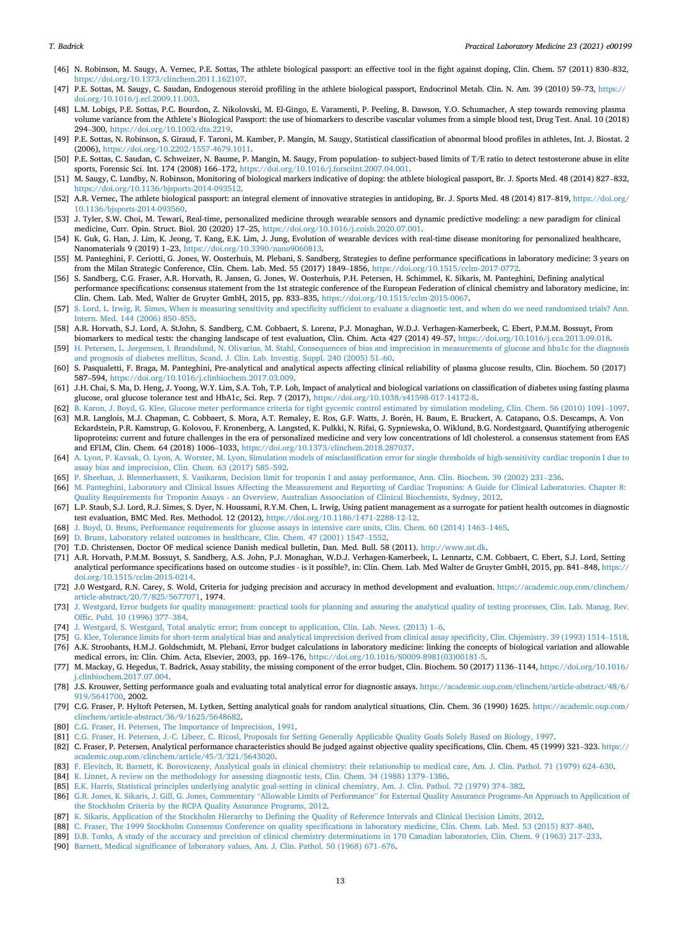- [46] N. Robinson, M. Saugy, A. Vernec, P.E. Sottas, The athlete biological passport: an effective tool in the fight against doping, Clin. Chem. 57 (2011) 830–832, [https://doi.org/10.1373/clinchem.2011.162107.](https://doi.org/10.1373/clinchem.2011.162107)
- <span id="page-12-0"></span>[47] P.E. Sottas, M. Saugy, C. Saudan, Endogenous steroid profiling in the athlete biological passport, Endocrinol Metab. Clin. N. Am. 39 (2010) 59–73, [https://](https://doi.org/10.1016/j.ecl.2009.11.003) [doi.org/10.1016/j.ecl.2009.11.003.](https://doi.org/10.1016/j.ecl.2009.11.003)
- [48] L.M. Lobigs, P.E. Sottas, P.C. Bourdon, Z. Nikolovski, M. El-Gingo, E. Varamenti, P. Peeling, B. Dawson, Y.O. Schumacher, A step towards removing plasma volume variance from the Athlete's Biological Passport: the use of biomarkers to describe vascular volumes from a simple blood test, Drug Test. Anal. 10 (2018) <sup>294</sup>–300, <https://doi.org/10.1002/dta.2219>.
- [49] P.E. Sottas, N. Robinson, S. Giraud, F. Taroni, M. Kamber, P. Mangin, M. Saugy, Statistical classification of abnormal blood profiles in athletes, Int. J. Biostat. 2 (2006), [https://doi.org/10.2202/1557-4679.1011.](https://doi.org/10.2202/1557-4679.1011)
- [50] P.E. Sottas, C. Saudan, C. Schweizer, N. Baume, P. Mangin, M. Saugy, From population- to subject-based limits of T/E ratio to detect testosterone abuse in elite sports, Forensic Sci. Int. 174 (2008) 166–172, <https://doi.org/10.1016/j.forsciint.2007.04.001>.
- <span id="page-12-1"></span>[51] M. Saugy, C. Lundby, N. Robinson, Monitoring of biological markers indicative of doping: the athlete biological passport, Br. J. Sports Med. 48 (2014) 827–832, [https://doi.org/10.1136/bjsports-2014-093512.](https://doi.org/10.1136/bjsports-2014-093512)
- <span id="page-12-2"></span>[52] A.R. Vernec, The athlete biological passport: an integral element of innovative strategies in antidoping, Br. J. Sports Med. 48 (2014) 817-819, [https://doi.org/](https://doi.org/10.1136/bjsports-2014-093560) [10.1136/bjsports-2014-093560.](https://doi.org/10.1136/bjsports-2014-093560)
- <span id="page-12-3"></span>[53] J. Tyler, S.W. Choi, M. Tewari, Real-time, personalized medicine through wearable sensors and dynamic predictive modeling: a new paradigm for clinical medicine, Curr. Opin. Struct. Biol. 20 (2020) 17–25, [https://doi.org/10.1016/j.coisb.2020.07.001.](https://doi.org/10.1016/j.coisb.2020.07.001)
- <span id="page-12-4"></span>[54] K. Guk, G. Han, J. Lim, K. Jeong, T. Kang, E.K. Lim, J. Jung, Evolution of wearable devices with real-time disease monitoring for personalized healthcare, Nanomaterials 9 (2019) 1–23, <https://doi.org/10.3390/nano9060813>.
- <span id="page-12-5"></span>[55] M. Panteghini, F. Ceriotti, G. Jones, W. Oosterhuis, M. Plebani, S. Sandberg, Strategies to define performance specifications in laboratory medicine: 3 years on from the Milan Strategic Conference, Clin. Chem. Lab. Med. 55 (2017) 1849–1856, [https://doi.org/10.1515/cclm-2017-0772.](https://doi.org/10.1515/cclm-2017-0772)
- <span id="page-12-29"></span>[56] S. Sandberg, C.G. Fraser, A.R. Horvath, R. Jansen, G. Jones, W. Oosterhuis, P.H. Petersen, H. Schimmel, K. Sikaris, M. Panteghini, Defining analytical performance specifications: consensus statement from the 1st strategic conference of the European Federation of clinical chemistry and laboratory medicine, in: Clin. Chem. Lab. Med, Walter de Gruyter GmbH, 2015, pp. 833–835, [https://doi.org/10.1515/cclm-2015-0067.](https://doi.org/10.1515/cclm-2015-0067)
- <span id="page-12-6"></span>[57] S. Lord, L. Irwig, R. Simes, When is measuring sensitivity and specificity suffi[cient to evaluate a diagnostic test, and when do we need randomized trials? Ann.](http://refhub.elsevier.com/S2352-5517(20)30162-1/sref57) [Intern. Med. 144 \(2006\) 850](http://refhub.elsevier.com/S2352-5517(20)30162-1/sref57)–[855](http://refhub.elsevier.com/S2352-5517(20)30162-1/sref57).
- [58] A.R. Horvath, S.J. Lord, A. StJohn, S. Sandberg, C.M. Cobbaert, S. Lorenz, P.J. Monaghan, W.D.J. Verhagen-Kamerbeek, C. Ebert, P.M.M. Bossuyt, From biomarkers to medical tests: the changing landscape of test evaluation, Clin. Chim. Acta 427 (2014) 49–57, <https://doi.org/10.1016/j.cca.2013.09.018>.
- <span id="page-12-7"></span>[59] H. Petersen, L. Jø[rgensen, I. Brandslund, N. Olivarius, M. Stahl, Consequences of bias and imprecision in measurements of glucose and hba1c for the diagnosis](http://refhub.elsevier.com/S2352-5517(20)30162-1/sref59) [and prognosis of diabetes mellitus, Scand. J. Clin. Lab. Investig. Suppl. 240 \(2005\) 51](http://refhub.elsevier.com/S2352-5517(20)30162-1/sref59)–[60.](http://refhub.elsevier.com/S2352-5517(20)30162-1/sref59)
- <span id="page-12-8"></span>[60] S. Pasqualetti, F. Braga, M. Panteghini, Pre-analytical and analytical aspects affecting clinical reliability of plasma glucose results, Clin. Biochem. 50 (2017) <sup>587</sup>–594, [https://doi.org/10.1016/j.clinbiochem.2017.03.009.](https://doi.org/10.1016/j.clinbiochem.2017.03.009)
- <span id="page-12-9"></span>[61] J.H. Chai, S. Ma, D. Heng, J. Yoong, W.Y. Lim, S.A. Toh, T.P. Loh, Impact of analytical and biological variations on classification of diabetes using fasting plasma glucose, oral glucose tolerance test and HbA1c, Sci. Rep. 7 (2017), [https://doi.org/10.1038/s41598-017-14172-8.](https://doi.org/10.1038/s41598-017-14172-8)
- <span id="page-12-10"></span>[62] [B. Karon, J. Boyd, G. Klee, Glucose meter performance criteria for tight gycemic control estimated by simulation modeling, Clin. Chem. 56 \(2010\) 1091](http://refhub.elsevier.com/S2352-5517(20)30162-1/sref62)–[1097.](http://refhub.elsevier.com/S2352-5517(20)30162-1/sref62)
- <span id="page-12-11"></span>[63] M.R. Langlois, M.J. Chapman, C. Cobbaert, S. Mora, A.T. Remaley, E. Ros, G.F. Watts, J. Boren, H. Baum, E. Bruckert, A. Catapano, O.S. Descamps, A. Von Eckardstein, P.R. Kamstrup, G. Kolovou, F. Kronenberg, A. Langsted, K. Pulkki, N. Rifai, G. Sypniewska, O. Wiklund, B.G. Nordestgaard, Quantifying atherogenic lipoproteins: current and future challenges in the era of personalized medicine and very low concentrations of ldl cholesterol. a consensus statement from EAS and EFLM, Clin. Chem. 64 (2018) 1006–1033, <https://doi.org/10.1373/clinchem.2018.287037>.
- <span id="page-12-12"></span>[64] [A. Lyon, P. Kavsak, O. Lyon, A. Worster, M. Lyon, Simulation models of misclassi](http://refhub.elsevier.com/S2352-5517(20)30162-1/sref64)fication error for single thresholds of high-sensitivity cardiac troponin I due to [assay bias and imprecision, Clin. Chem. 63 \(2017\) 585](http://refhub.elsevier.com/S2352-5517(20)30162-1/sref64)–[592](http://refhub.elsevier.com/S2352-5517(20)30162-1/sref64).
- <span id="page-12-13"></span>[65] [P. Sheehan, J. Blennerhassett, S. Vasikaran, Decision limit for troponin I and assay performance, Ann. Clin. Biochem. 39 \(2002\) 231](http://refhub.elsevier.com/S2352-5517(20)30162-1/sref65)–[236](http://refhub.elsevier.com/S2352-5517(20)30162-1/sref65).
- <span id="page-12-14"></span>[66] [M. Panteghini, Laboratory and Clinical Issues Affecting the Measurement and Reporting of Cardiac Troponins: A Guide for Clinical Laboratories. Chapter 8:](http://refhub.elsevier.com/S2352-5517(20)30162-1/sref66) [Quality Requirements for Troponin Assays - an Overview, Australian Assoociation of Clinical Biochemists, Sydney, 2012](http://refhub.elsevier.com/S2352-5517(20)30162-1/sref66).
- <span id="page-12-15"></span>[67] L.P. Staub, S.J. Lord, R.J. Simes, S. Dyer, N. Houssami, R.Y.M. Chen, L. Irwig, Using patient management as a surrogate for patient health outcomes in diagnostic test evaluation, BMC Med. Res. Methodol. 12 (2012), <https://doi.org/10.1186/1471-2288-12-12>.
- <span id="page-12-16"></span>[68] [J. Boyd, D. Bruns, Performance requirements for glucose assays in intensive care units, Clin. Chem. 60 \(2014\) 1463](http://refhub.elsevier.com/S2352-5517(20)30162-1/sref68)–[1465.](http://refhub.elsevier.com/S2352-5517(20)30162-1/sref68)
- <span id="page-12-17"></span>[69] [D. Bruns, Laboratory related outcomes in healthcare, Clin. Chem. 47 \(2001\) 1547](http://refhub.elsevier.com/S2352-5517(20)30162-1/sref69)–[1552.](http://refhub.elsevier.com/S2352-5517(20)30162-1/sref69)
- <span id="page-12-18"></span>[70] T.D. Christensen, Doctor OF medical science Danish medical bulletin, Dan. Med. Bull. 58 (2011). [http://www.sst.dk.](http://www.sst.dk)
- <span id="page-12-19"></span>[71] A.R. Horvath, P.M.M. Bossuyt, S. Sandberg, A.S. John, P.J. Monaghan, W.D.J. Verhagen-Kamerbeek, L. Lennartz, C.M. Cobbaert, C. Ebert, S.J. Lord, Setting analytical performance specifications based on outcome studies - is it possible?, in: Clin. Chem. Lab. Med Walter de Gruyter GmbH, 2015, pp. 841–848, [https://](https://doi.org/10.1515/cclm-2015-0214) [doi.org/10.1515/cclm-2015-0214.](https://doi.org/10.1515/cclm-2015-0214)
- <span id="page-12-20"></span>[72] J.0 Westgard, R.N. Carey, S. Wold, Criteria for judging precision and accuracy in method development and evaluation. [https://academic.oup.com/clinchem/](https://academic.oup.com/clinchem/article-abstract/20/7/825/5677071) [article-abstract/20/7/825/5677071](https://academic.oup.com/clinchem/article-abstract/20/7/825/5677071), 1974.
- <span id="page-12-21"></span>[73] [J. Westgard, Error budgets for quality management: practical tools for planning and assuring the analytical quality of testing processes, Clin. Lab. Manag. Rev.](http://refhub.elsevier.com/S2352-5517(20)30162-1/sref73) Offi[c. Publ. 10 \(1996\) 377](http://refhub.elsevier.com/S2352-5517(20)30162-1/sref73)–[384.](http://refhub.elsevier.com/S2352-5517(20)30162-1/sref73)
- <span id="page-12-22"></span>[74] [J. Westgard, S. Westgard, Total analytic error; from concept to application, Clin. Lab. News. \(2013\) 1](http://refhub.elsevier.com/S2352-5517(20)30162-1/sref74)–[6](http://refhub.elsevier.com/S2352-5517(20)30162-1/sref74).
- <span id="page-12-24"></span><span id="page-12-23"></span>[75] [G. Klee, Tolerance limits for short-term analytical bias and analytical imprecision derived from clinical assay speci](http://refhub.elsevier.com/S2352-5517(20)30162-1/sref75)ficity, Clin. Chjemistry. 39 (1993) 1514–[1518.](http://refhub.elsevier.com/S2352-5517(20)30162-1/sref75) [76] A.K. Stroobants, H.M.J. Goldschmidt, M. Plebani, Error budget calculations in laboratory medicine: linking the concepts of biological variation and allowable
- <span id="page-12-25"></span>medical errors, in: Clin. Chim. Acta, Elsevier, 2003, pp. 169–176, [https://doi.org/10.1016/S0009-8981\(03\)00181-5](https://doi.org/10.1016/S0009-8981(03)00181-5). [77] M. Mackay, G. Hegedus, T. Badrick, Assay stability, the missing component of the error budget, Clin. Biochem. 50 (2017) 1136–1144, [https://doi.org/10.1016/](https://doi.org/10.1016/j.clinbiochem.2017.07.004)
- <span id="page-12-26"></span>[j.clinbiochem.2017.07.004.](https://doi.org/10.1016/j.clinbiochem.2017.07.004) [78] J.S. Krouwer, Setting performance goals and evaluating total analytical error for diagnostic assays. [https://academic.oup.com/clinchem/article-abstract/48/6/](https://academic.oup.com/clinchem/article-abstract/48/6/919/5641700) [919/5641700](https://academic.oup.com/clinchem/article-abstract/48/6/919/5641700), 2002.
- <span id="page-12-27"></span>[79] C.G. Fraser, P. Hyltoft Petersen, M. Lytken, Setting analytical goals for random analytical situations, Clin. Chem. 36 (1990) 1625. [https://academic.oup.com/](https://academic.oup.com/clinchem/article-abstract/36/9/1625/5648682) [clinchem/article-abstract/36/9/1625/5648682](https://academic.oup.com/clinchem/article-abstract/36/9/1625/5648682).
- [80] [C.G. Fraser, H. Petersen, The Importance of Imprecision, 1991.](http://refhub.elsevier.com/S2352-5517(20)30162-1/sref80)
- <span id="page-12-34"></span>[81] [C.G. Fraser, H. Petersen, J.-C. Libeer, C. Ricosl, Proposals for Setting Generally Applicable Quality Goals Solely Based on Biology, 1997.](http://refhub.elsevier.com/S2352-5517(20)30162-1/sref81)
- [82] C. Fraser, P. Petersen, Analytical performance characteristics should Be judged against objective quality specifications, Clin. Chem. 45 (1999) 321–323. [https://](https://academic.oup.com/clinchem/article/45/3/321/5643020) [academic.oup.com/clinchem/article/45/3/321/5643020.](https://academic.oup.com/clinchem/article/45/3/321/5643020)
- <span id="page-12-28"></span>[83] [F. Elevitch, R. Barnett, K. Boroviczeny, Analytical goals in clinical chemistry: their relationship to medical care, Am. J. Clin. Pathol. 71 \(1979\) 624](http://refhub.elsevier.com/S2352-5517(20)30162-1/sref83)–[630.](http://refhub.elsevier.com/S2352-5517(20)30162-1/sref83)
- [84] [K. Linnet, A review on the methodology for assessing diagnostic tests, Clin. Chem. 34 \(1988\) 1379](http://refhub.elsevier.com/S2352-5517(20)30162-1/sref84)–[1386.](http://refhub.elsevier.com/S2352-5517(20)30162-1/sref84)
- <span id="page-12-33"></span>[85] [E.K. Harris, Statistical principles underlying analytic goal-setting in clinical chemistry, Am. J. Clin. Pathol. 72 \(1979\) 374](http://refhub.elsevier.com/S2352-5517(20)30162-1/sref85)–[382](http://refhub.elsevier.com/S2352-5517(20)30162-1/sref85).
- <span id="page-12-30"></span>[86] G.R. Jones, K. Sikaris, J. Gill, G. Jones, Commentary "Allowable Limits of Performance" [for External Quality Assurance Programs-An Approach to Application of](http://refhub.elsevier.com/S2352-5517(20)30162-1/sref86) [the Stockholm Criteria by the RCPA Quality Assurance Programs, 2012](http://refhub.elsevier.com/S2352-5517(20)30162-1/sref86).
- [87] K. Sikaris, Application of the Stockholm Hierarchy to Defi[ning the Quality of Reference Intervals and Clinical Decision Limits, 2012](http://refhub.elsevier.com/S2352-5517(20)30162-1/sref87).
- [88] [C. Fraser, The 1999 Stockholm Consensus Conference on quality speci](http://refhub.elsevier.com/S2352-5517(20)30162-1/sref88)fications in laboratory medicine, Clin. Chem. Lab. Med. 53 (2015) 837–[840](http://refhub.elsevier.com/S2352-5517(20)30162-1/sref88).
- <span id="page-12-31"></span>[89] [D.B. Tonks, A study of the accuracy and precision of clinical chemistry determinations in 170 Canadian laboratories, Clin. Chem. 9 \(1963\) 217](http://refhub.elsevier.com/S2352-5517(20)30162-1/sref89)–[233.](http://refhub.elsevier.com/S2352-5517(20)30162-1/sref89)
- <span id="page-12-32"></span>[90] Barnett, Medical signifi[cance of laboratory values, Am. J. Clin. Pathol. 50 \(1968\) 671](http://refhub.elsevier.com/S2352-5517(20)30162-1/sref90)–[676](http://refhub.elsevier.com/S2352-5517(20)30162-1/sref90).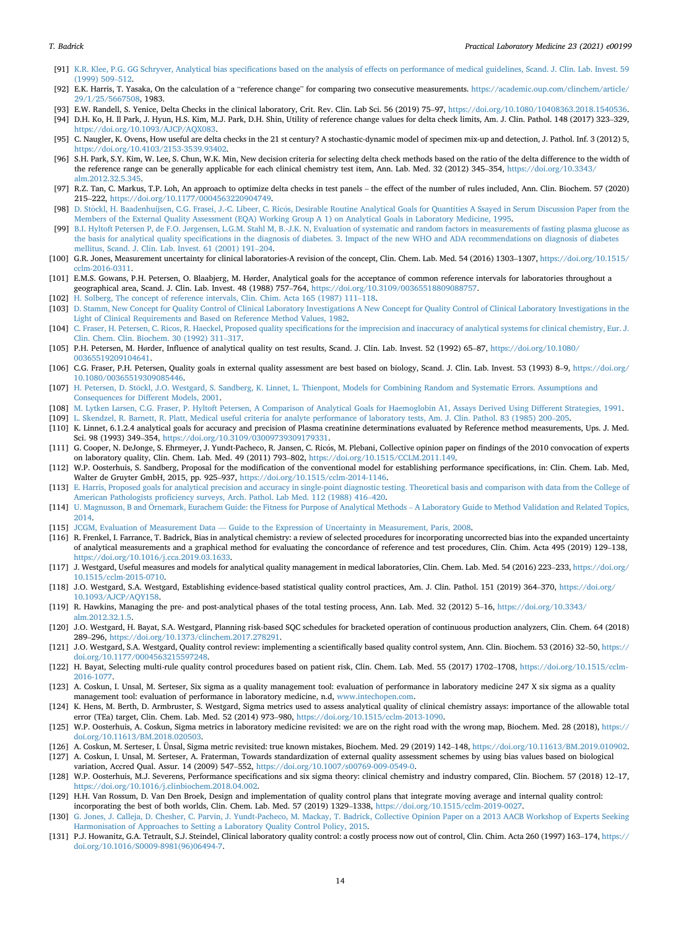- <span id="page-13-0"></span>[91] K.R. Klee, P.G. GG Schryver, Analytical bias specifi[cations based on the analysis of effects on performance of medical guidelines, Scand. J. Clin. Lab. Invest. 59](http://refhub.elsevier.com/S2352-5517(20)30162-1/sref91) [\(1999\) 509](http://refhub.elsevier.com/S2352-5517(20)30162-1/sref91)–[512](http://refhub.elsevier.com/S2352-5517(20)30162-1/sref91).
- <span id="page-13-1"></span>[92] E.K. Harris, T. Yasaka, On the calculation of a "reference change" for comparing two consecutive measurements. [https://academic.oup.com/clinchem/article/](https://academic.oup.com/clinchem/article/29/1/25/5667508) [29/1/25/5667508,](https://academic.oup.com/clinchem/article/29/1/25/5667508) 1983.
- <span id="page-13-3"></span><span id="page-13-2"></span>[93] E.W. Randell, S. Yenice, Delta Checks in the clinical laboratory, Crit. Rev. Clin. Lab Sci. 56 (2019) 75–97, [https://doi.org/10.1080/10408363.2018.1540536.](https://doi.org/10.1080/10408363.2018.1540536) [94] D.H. Ko, H. Il Park, J. Hyun, H.S. Kim, M.J. Park, D.H. Shin, Utility of reference change values for delta check limits, Am. J. Clin. Pathol. 148 (2017) 323–329, [https://doi.org/10.1093/AJCP/AQX083.](https://doi.org/10.1093/AJCP/AQX083)
- [95] C. Naugler, K. Ovens, How useful are delta checks in the 21 st century? A stochastic-dynamic model of specimen mix-up and detection, J. Pathol. Inf. 3 (2012) 5, <https://doi.org/10.4103/2153-3539.93402>.
- [96] S.H. Park, S.Y. Kim, W. Lee, S. Chun, W.K. Min, New decision criteria for selecting delta check methods based on the ratio of the delta difference to the width of the reference range can be generally applicable for each clinical chemistry test item, Ann. Lab. Med. 32 (2012) 345-354, [https://doi.org/10.3343/](https://doi.org/10.3343/alm.2012.32.5.345) [alm.2012.32.5.345.](https://doi.org/10.3343/alm.2012.32.5.345)
- [97] R.Z. Tan, C. Markus, T.P. Loh, An approach to optimize delta checks in test panels the effect of the number of rules included, Ann. Clin. Biochem. 57 (2020) 215–222, [https://doi.org/10.1177/0004563220904749.](https://doi.org/10.1177/0004563220904749)
- <span id="page-13-4"></span>[98] D. Stöckl, H. Baadenhuijsen, C.G. Frasei, J.-C. Libeer, C. Ricós, Desirable Routine Analytical Goals for Quantities A Ssayed in Serum Discussion Paper from the [Members of the External Quality Assessment \(EQA\) Working Group A 1\) on Analytical Goals in Laboratory Medicine, 1995.](http://refhub.elsevier.com/S2352-5517(20)30162-1/sref98)
- <span id="page-13-5"></span>[99] B.I. Hyltoft Petersen P, de F.O. Jø[rgensen, L.G.M. Stahl M, B.-J.K. N, Evaluation of systematic and random factors in measurements of fasting plasma glucose as](http://refhub.elsevier.com/S2352-5517(20)30162-1/sref99) the basis for analytical quality specifi[cations in the diagnosis of diabetes. 3. Impact of the new WHO and ADA recommendations on diagnosis of diabetes](http://refhub.elsevier.com/S2352-5517(20)30162-1/sref99) [mellitus, Scand. J. Clin. Lab. Invest. 61 \(2001\) 191](http://refhub.elsevier.com/S2352-5517(20)30162-1/sref99)–[204](http://refhub.elsevier.com/S2352-5517(20)30162-1/sref99).
- <span id="page-13-6"></span>[100] G.R. Jones, Measurement uncertainty for clinical laboratories-A revision of the concept, Clin. Chem. Lab. Med. 54 (2016) 1303–1307, [https://doi.org/10.1515/](https://doi.org/10.1515/cclm-2016-0311) [cclm-2016-0311.](https://doi.org/10.1515/cclm-2016-0311)
- <span id="page-13-7"></span>[101] E.M.S. Gowans, P.H. Petersen, O. Blaabjerg, M. Hørder, Analytical goals for the acceptance of common reference intervals for laboratories throughout a geographical area, Scand. J. Clin. Lab. Invest. 48 (1988) 757–764, [https://doi.org/10.3109/00365518809088757.](https://doi.org/10.3109/00365518809088757)
- <span id="page-13-8"></span>[102] [H. Solberg, The concept of reference intervals, Clin. Chim. Acta 165 \(1987\) 111](http://refhub.elsevier.com/S2352-5517(20)30162-1/sref102)–[118](http://refhub.elsevier.com/S2352-5517(20)30162-1/sref102).
- <span id="page-13-9"></span>[103] [D. Stamm, New Concept for Quality Control of Clinical Laboratory Investigations A New Concept for Quality Control of Clinical Laboratory Investigations in the](http://refhub.elsevier.com/S2352-5517(20)30162-1/sref103) [Light of Clinical Requirements and Based on Reference Method Values, 1982](http://refhub.elsevier.com/S2352-5517(20)30162-1/sref103).
- <span id="page-13-10"></span>[104] C. Fraser, H. Petersen, C. Ricos, R. Haeckel, Proposed quality specifi[cations for the imprecision and inaccuracy of analytical systems for clinical chemistry, Eur. J.](http://refhub.elsevier.com/S2352-5517(20)30162-1/sref104) [Clin. Chem. Clin. Biochem. 30 \(1992\) 311](http://refhub.elsevier.com/S2352-5517(20)30162-1/sref104)–[317.](http://refhub.elsevier.com/S2352-5517(20)30162-1/sref104)
- <span id="page-13-11"></span>[105] P.H. Petersen, M. Hørder, Influence of analytical quality on test results, Scand. J. Clin. Lab. Invest. 52 (1992) 65–87, [https://doi.org/10.1080/](https://doi.org/10.1080/00365519209104641) [00365519209104641](https://doi.org/10.1080/00365519209104641).
- <span id="page-13-12"></span>[106] C.G. Fraser, P.H. Petersen, Quality goals in external quality assessment are best based on biology, Scand. J. Clin. Lab. Invest. 53 (1993) 8–9, [https://doi.org/](https://doi.org/10.1080/00365519309085446) [10.1080/00365519309085446](https://doi.org/10.1080/00365519309085446).
- <span id="page-13-13"></span>[107] H. Petersen, D. Stöckl, J.O. Westgard, S. Sandberg, K. Linnet, L. Thienpont, Models for Combining Random and Systematic Errors. Assumptions and [Consequences for Different Models, 2001.](http://refhub.elsevier.com/S2352-5517(20)30162-1/sref107)
- <span id="page-13-14"></span>[108] [M. Lytken Larsen, C.G. Fraser, P. Hyltoft Petersen, A Comparison of Analytical Goals for Haemoglobin A1, Assays Derived Using Different Strategies,](http://refhub.elsevier.com/S2352-5517(20)30162-1/sref108) 1991.
- <span id="page-13-15"></span>[109] [L. Skendzel, R. Barnett, R. Platt, Medical useful criteria for analyte performance of laboratory tests, Am. J. Clin. Pathol. 83 \(1985\) 200](http://refhub.elsevier.com/S2352-5517(20)30162-1/sref109)–[205](http://refhub.elsevier.com/S2352-5517(20)30162-1/sref109).
- <span id="page-13-16"></span>[110] K. Linnet, 6.1.2.4 analytical goals for accuracy and precision of Plasma creatinine determinations evaluated by Reference method measurements, Ups. J. Med. Sci. 98 (1993) 349–354, [https://doi.org/10.3109/03009739309179331.](https://doi.org/10.3109/03009739309179331)
- <span id="page-13-17"></span>[111] G. Cooper, N. DeJonge, S. Ehrmeyer, J. Yundt-Pacheco, R. Jansen, C. Ricos, M. Plebani, Collective opinion paper on findings of the 2010 convocation of experts on laboratory quality, Clin. Chem. Lab. Med. 49 (2011) 793–802, [https://doi.org/10.1515/CCLM.2011.149.](https://doi.org/10.1515/CCLM.2011.149)
- <span id="page-13-18"></span>[112] W.P. Oosterhuis, S. Sandberg, Proposal for the modification of the conventional model for establishing performance specifications, in: Clin. Chem. Lab. Med, Walter de Gruyter GmbH, 2015, pp. 925–937, [https://doi.org/10.1515/cclm-2014-1146.](https://doi.org/10.1515/cclm-2014-1146)
- <span id="page-13-19"></span>[113] [E. Harris, Proposed goals for analytical precision and accuracy in single-point diagnostic testing. Theoretical basis and comparison with data from the College of](http://refhub.elsevier.com/S2352-5517(20)30162-1/sref113) American Pathologists profi[ciency surveys, Arch. Pathol. Lab Med. 112 \(1988\) 416](http://refhub.elsevier.com/S2352-5517(20)30162-1/sref113)–[420](http://refhub.elsevier.com/S2352-5517(20)30162-1/sref113).
- <span id="page-13-20"></span>[114] [U. Magnusson, B and](http://refhub.elsevier.com/S2352-5517(20)30162-1/sref114) Ö[rnemark, Eurachem Guide: the Fitness for Purpose of Analytical Methods](http://refhub.elsevier.com/S2352-5517(20)30162-1/sref114) - [A Laboratory Guide to Method Validation and Related Topics,](http://refhub.elsevier.com/S2352-5517(20)30162-1/sref114) [2014](http://refhub.elsevier.com/S2352-5517(20)30162-1/sref114).
- <span id="page-13-21"></span>[115] [JCGM, Evaluation of Measurement Data](http://refhub.elsevier.com/S2352-5517(20)30162-1/sref115) — [Guide to the Expression of Uncertainty in Measurement, Paris, 2008.](http://refhub.elsevier.com/S2352-5517(20)30162-1/sref115)
- <span id="page-13-22"></span>[116] R. Frenkel, I. Farrance, T. Badrick, Bias in analytical chemistry: a review of selected procedures for incorporating uncorrected bias into the expanded uncertainty of analytical measurements and a graphical method for evaluating the concordance of reference and test procedures, Clin. Chim. Acta 495 (2019) 129–138, <https://doi.org/10.1016/j.cca.2019.03.1633>.
- <span id="page-13-23"></span>[117] J. Westgard, Useful measures and models for analytical quality management in medical laboratories, Clin. Chem. Lab. Med. 54 (2016) 223-233, [https://doi.org/](https://doi.org/10.1515/cclm-2015-0710) [10.1515/cclm-2015-0710](https://doi.org/10.1515/cclm-2015-0710).
- <span id="page-13-28"></span>[118] J.O. Westgard, S.A. Westgard, Establishing evidence-based statistical quality control practices, Am. J. Clin. Pathol. 151 (2019) 364–370, [https://doi.org/](https://doi.org/10.1093/AJCP/AQY158) [10.1093/AJCP/AQY158](https://doi.org/10.1093/AJCP/AQY158).
- [119] R. Hawkins, Managing the pre- and post-analytical phases of the total testing process, Ann. Lab. Med. 32 (2012) 5–16, [https://doi.org/10.3343/](https://doi.org/10.3343/alm.2012.32.1.5) [alm.2012.32.1.5](https://doi.org/10.3343/alm.2012.32.1.5).
- [120] J.O. Westgard, H. Bayat, S.A. Westgard, Planning risk-based SQC schedules for bracketed operation of continuous production analyzers, Clin. Chem. 64 (2018) <sup>289</sup>–296, [https://doi.org/10.1373/clinchem.2017.278291.](https://doi.org/10.1373/clinchem.2017.278291)
- [121] J.O. Westgard, S.A. Westgard, Quality control review: implementing a scientifically based quality control system, Ann. Clin. Biochem. 53 (2016) 32–50, [https://](https://doi.org/10.1177/0004563215597248) [doi.org/10.1177/0004563215597248.](https://doi.org/10.1177/0004563215597248)
- [122] H. Bayat, Selecting multi-rule quality control procedures based on patient risk, Clin. Chem. Lab. Med. 55 (2017) 1702–1708, [https://doi.org/10.1515/cclm-](https://doi.org/10.1515/cclm-2016-1077)[2016-1077.](https://doi.org/10.1515/cclm-2016-1077)
- [123] A. Coskun, I. Unsal, M. Serteser, Six sigma as a quality management tool: evaluation of performance in laboratory medicine 247 X six sigma as a quality management tool: evaluation of performance in laboratory medicine, n.d, [www.intechopen.com.](http://www.intechopen.com)
- <span id="page-13-24"></span>[124] K. Hens, M. Berth, D. Armbruster, S. Westgard, Sigma metrics used to assess analytical quality of clinical chemistry assays: importance of the allowable total error (TEa) target, Clin. Chem. Lab. Med. 52 (2014) 973–980, <https://doi.org/10.1515/cclm-2013-1090>.
- <span id="page-13-25"></span>[125] W.P. Oosterhuis, A. Coskun, Sigma metrics in laboratory medicine revisited: we are on the right road with the wrong map, Biochem. Med. 28 (2018), [https://](https://doi.org/10.11613/BM.2018.020503) [doi.org/10.11613/BM.2018.020503.](https://doi.org/10.11613/BM.2018.020503)
- [126] A. Coskun, M. Serteser, I. Ünsal, Sigma metric revisited: true known mistakes, Biochem. Med. 29 (2019) 142–148, [https://doi.org/10.11613/BM.2019.010902.](https://doi.org/10.11613/BM.2019.010902)
- [127] A. Coskun, I. Unsal, M. Serteser, A. Fraterman, Towards standardization of external quality assessment schemes by using bias values based on biological variation, Accred Qual. Assur. 14 (2009) 547–552, [https://doi.org/10.1007/s00769-009-0549-0.](https://doi.org/10.1007/s00769-009-0549-0)
- [128] W.P. Oosterhuis, M.J. Severens, Performance specifications and six sigma theory: clinical chemistry and industry compared, Clin. Biochem. 57 (2018) 12–17, [https://doi.org/10.1016/j.clinbiochem.2018.04.002.](https://doi.org/10.1016/j.clinbiochem.2018.04.002)
- <span id="page-13-26"></span>[129] H.H. Van Rossum, D. Van Den Broek, Design and implementation of quality control plans that integrate moving average and internal quality control: incorporating the best of both worlds, Clin. Chem. Lab. Med. 57 (2019) 1329–1338, [https://doi.org/10.1515/cclm-2019-0027.](https://doi.org/10.1515/cclm-2019-0027)
- <span id="page-13-27"></span>[130] [G. Jones, J. Calleja, D. Chesher, C. Parvin, J. Yundt-Pacheco, M. Mackay, T. Badrick, Collective Opinion Paper on a 2013 AACB Workshop of Experts Seeking](http://refhub.elsevier.com/S2352-5517(20)30162-1/sref130) [Harmonisation of Approaches to Setting a Laboratory Quality Control Policy, 2015.](http://refhub.elsevier.com/S2352-5517(20)30162-1/sref130)
- <span id="page-13-29"></span>[131] P.J. Howanitz, G.A. Tetrault, S.J. Steindel, Clinical laboratory quality control: a costly process now out of control, Clin. Chim. Acta 260 (1997) 163–174, [https://](https://doi.org/10.1016/S0009-8981(96)06494-7) [doi.org/10.1016/S0009-8981\(96\)06494-7](https://doi.org/10.1016/S0009-8981(96)06494-7).